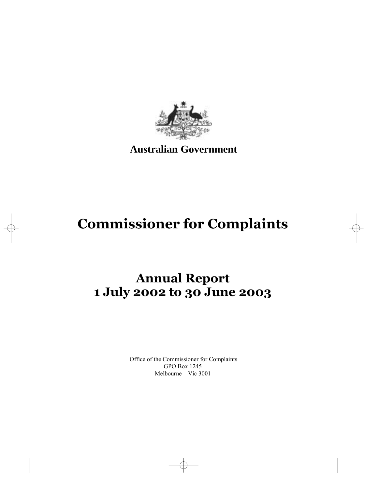

**Australian Government**

# **Commissioner for Complaints**

# **Annual Report 1 July 2002 to 30 June 2003**

Office of the Commissioner for Complaints GPO Box 1245 Melbourne Vic 3001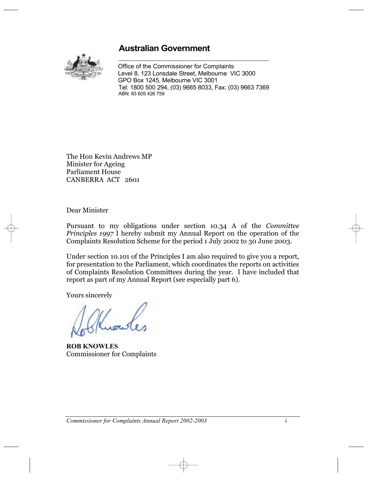## **Australian Government**



Office of the Commissioner for Complaints Level 8, 123 Lonsdale Street, Melbourne VIC 3000 GPO Box 1245, Melbourne VIC 3001 Tel: 1800 500 294, (03) 9665 8033, Fax: (03) 9663 7369 ABN: 83 605 426 759

The Hon Kevin Andrews MP Minister for Ageing Parliament House CANBERRA ACT 2601

Dear Minister

Pursuant to my obligations under section 10.34 A of the *Committee Principles 1997* I hereby submit my Annual Report on the operation of the Complaints Resolution Scheme for the period 1 July 2002 to 30 June 2003.

Under section 10.101 of the Principles I am also required to give you a report, for presentation to the Parliament, which coordinates the reports on activities of Complaints Resolution Committees during the year. I have included that report as part of my Annual Report (see especially part 6).

Yours sincerely

**ROB KNOWLES** Commissioner for Complaints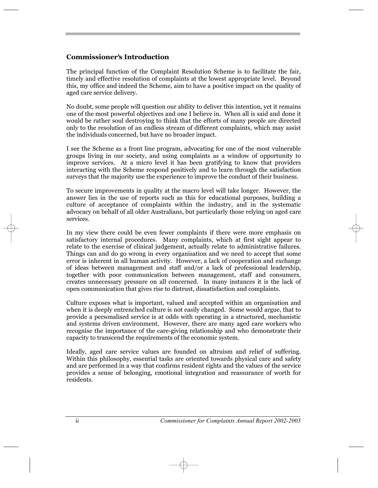## **Commissioner's Introduction**

The principal function of the Complaint Resolution Scheme is to facilitate the fair, timely and effective resolution of complaints at the lowest appropriate level. Beyond this, my office and indeed the Scheme, aim to have a positive impact on the quality of aged care service delivery.

No doubt, some people will question our ability to deliver this intention, yet it remains one of the most powerful objectives and one I believe in. When all is said and done it would be rather soul destroying to think that the efforts of many people are directed only to the resolution of an endless stream of different complaints, which may assist the individuals concerned, but have no broader impact.

I see the Scheme as a front line program, advocating for one of the most vulnerable groups living in our society, and using complaints as a window of opportunity to improve services. At a micro level it has been gratifying to know that providers interacting with the Scheme respond positively and to learn through the satisfaction surveys that the majority use the experience to improve the conduct of their business.

To secure improvements in quality at the macro level will take longer. However, the answer lies in the use of reports such as this for educational purposes, building a culture of acceptance of complaints within the industry, and in the systematic advocacy on behalf of all older Australians, but particularly those relying on aged care services.

In my view there could be even fewer complaints if there were more emphasis on satisfactory internal procedures. Many complaints, which at first sight appear to relate to the exercise of clinical judgement, actually relate to administrative failures. Things can and do go wrong in every organisation and we need to accept that some error is inherent in all human activity. However, a lack of cooperation and exchange of ideas between management and staff and/or a lack of professional leadership, together with poor communication between management, staff and consumers, creates unnecessary pressure on all concerned. In many instances it is the lack of open communication that gives rise to distrust, dissatisfaction and complaints.

Culture exposes what is important, valued and accepted within an organisation and when it is deeply entrenched culture is not easily changed. Some would argue, that to provide a personalised service is at odds with operating in a structured, mechanistic and systems driven environment. However, there are many aged care workers who recognise the importance of the care-giving relationship and who demonstrate their capacity to transcend the requirements of the economic system.

Ideally, aged care service values are founded on altruism and relief of suffering. Within this philosophy, essential tasks are oriented towards physical care and safety and are performed in a way that confirms resident rights and the values of the service provides a sense of belonging, emotional integration and reassurance of worth for residents.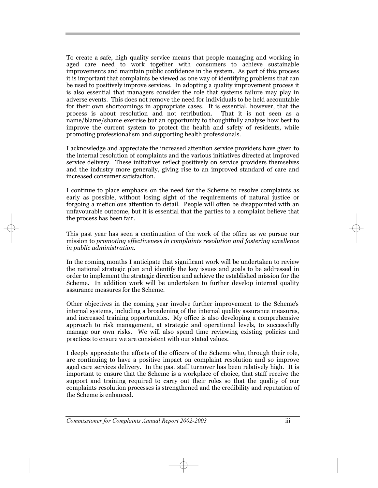To create a safe, high quality service means that people managing and working in aged care need to work together with consumers to achieve sustainable improvements and maintain public confidence in the system. As part of this process it is important that complaints be viewed as one way of identifying problems that can be used to positively improve services. In adopting a quality improvement process it is also essential that managers consider the role that systems failure may play in adverse events. This does not remove the need for individuals to be held accountable for their own shortcomings in appropriate cases. It is essential, however, that the process is about resolution and not retribution. That it is not seen as a process is about resolution and not retribution. name/blame/shame exercise but an opportunity to thoughtfully analyse how best to improve the current system to protect the health and safety of residents, while promoting professionalism and supporting health professionals.

I acknowledge and appreciate the increased attention service providers have given to the internal resolution of complaints and the various initiatives directed at improved service delivery. These initiatives reflect positively on service providers themselves and the industry more generally, giving rise to an improved standard of care and increased consumer satisfaction.

I continue to place emphasis on the need for the Scheme to resolve complaints as early as possible, without losing sight of the requirements of natural justice or forgoing a meticulous attention to detail. People will often be disappointed with an unfavourable outcome, but it is essential that the parties to a complaint believe that the process has been fair.

This past year has seen a continuation of the work of the office as we pursue our mission to *promoting effectiveness in complaints resolution and fostering excellence in public administration.*

In the coming months I anticipate that significant work will be undertaken to review the national strategic plan and identify the key issues and goals to be addressed in order to implement the strategic direction and achieve the established mission for the Scheme. In addition work will be undertaken to further develop internal quality assurance measures for the Scheme.

Other objectives in the coming year involve further improvement to the Scheme's internal systems, including a broadening of the internal quality assurance measures, and increased training opportunities. My office is also developing a comprehensive approach to risk management, at strategic and operational levels, to successfully manage our own risks. We will also spend time reviewing existing policies and practices to ensure we are consistent with our stated values.

I deeply appreciate the efforts of the officers of the Scheme who, through their role, are continuing to have a positive impact on complaint resolution and so improve aged care services delivery. In the past staff turnover has been relatively high. It is important to ensure that the Scheme is a workplace of choice, that staff receive the support and training required to carry out their roles so that the quality of our complaints resolution processes is strengthened and the credibility and reputation of the Scheme is enhanced.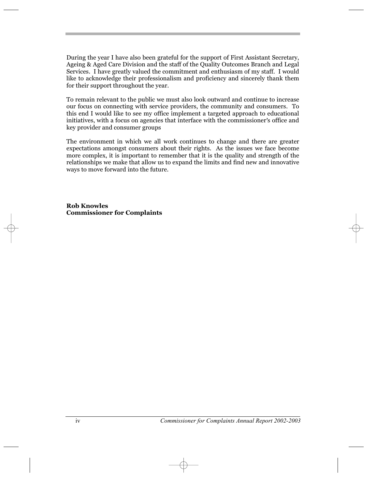During the year I have also been grateful for the support of First Assistant Secretary, Ageing & Aged Care Division and the staff of the Quality Outcomes Branch and Legal Services. I have greatly valued the commitment and enthusiasm of my staff. I would like to acknowledge their professionalism and proficiency and sincerely thank them for their support throughout the year.

To remain relevant to the public we must also look outward and continue to increase our focus on connecting with service providers, the community and consumers. To this end I would like to see my office implement a targeted approach to educational initiatives, with a focus on agencies that interface with the commissioner's office and initiatives, with a focus on agencies that interface with the commissioner's office and key provider and consumer groups

The environment in which we all work continues to change and there are greater expectations amongst consumers about their rights. As the issues we face become more complex, it is important to remember that it is the quality and strength of the relationships we make that allow us to expand the limits and find new and innovative ways to move forward into the future.

**Rob Knowles Commissioner for Complaints**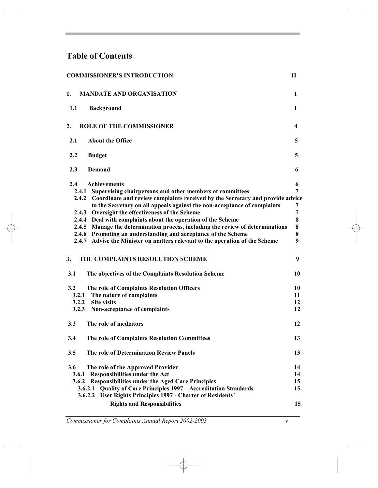# **Table of Contents**

| <b>COMMISSIONER'S INTRODUCTION</b>                                                                        | П      |
|-----------------------------------------------------------------------------------------------------------|--------|
| 1.<br><b>MANDATE AND ORGANISATION</b>                                                                     | 1      |
| 1.1<br><b>Background</b>                                                                                  | 1      |
| 2.<br><b>ROLE OF THE COMMISSIONER</b>                                                                     | 4      |
| 2.1<br><b>About the Office</b>                                                                            | 5      |
| 2.2<br><b>Budget</b>                                                                                      | 5      |
| 2.3<br>Demand                                                                                             | 6      |
| 2.4<br><b>Achievements</b>                                                                                | 6      |
| 2.4.1<br>Supervising chairpersons and other members of committees                                         | 7      |
| 2.4.2 Coordinate and review complaints received by the Secretary and provide advice                       |        |
| to the Secretary on all appeals against the non-acceptance of complaints<br>2.4.3                         | 7<br>7 |
| Oversight the effectiveness of the Scheme<br>2.4.4 Deal with complaints about the operation of the Scheme | 8      |
| 2.4.5 Manage the determination process, including the review of determinations                            | 8      |
| 2.4.6 Promoting an understanding and acceptance of the Scheme                                             | 8      |
| 2.4.7 Advise the Minister on matters relevant to the operation of the Scheme                              | 9      |
| 3.<br>THE COMPLAINTS RESOLUTION SCHEME                                                                    | 9      |
| 3.1<br>The objectives of the Complaints Resolution Scheme                                                 | 10     |
| 3.2<br>The role of Complaints Resolution Officers                                                         | 10     |
| 3.2.1<br>The nature of complaints                                                                         | 11     |
| 3.2.2<br><b>Site visits</b>                                                                               | 12     |
| 3.2.3<br>Non-acceptance of complaints                                                                     | 12     |
| 3.3<br>The role of mediators                                                                              | 12     |
| 3.4<br>The role of Complaints Resolution Committees                                                       | 13     |
| The role of Determination Review Panels<br>3.5                                                            | 13     |
| 3.6<br>The role of the Approved Provider                                                                  | 14     |
| 3.6.1 Responsibilities under the Act                                                                      | 14     |
| 3.6.2 Responsibilities under the Aged Care Principles                                                     | 15     |
| <b>Quality of Care Principles 1997 - Accreditation Standards</b><br>3.6.2.1                               | 15     |
| User Rights Principles 1997 - Charter of Residents'<br>3.6.2.2                                            |        |
| <b>Rights and Responsibilities</b>                                                                        | 15     |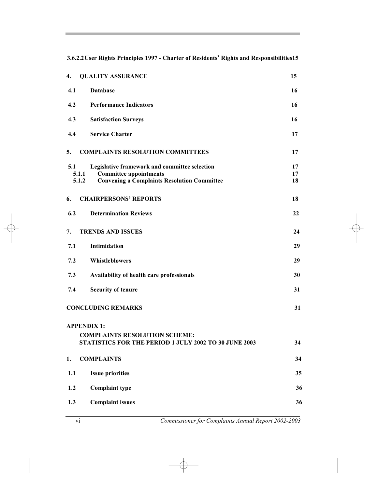3.6.2.2 User Rights Principles 1997 - Charter of Residents' Rights and Responsibilities15

| 4.  | <b>QUALITY ASSURANCE</b>                                                                                                                               | 15             |
|-----|--------------------------------------------------------------------------------------------------------------------------------------------------------|----------------|
| 4.1 | <b>Database</b>                                                                                                                                        | 16             |
| 4.2 | <b>Performance Indicators</b>                                                                                                                          | 16             |
| 4.3 | <b>Satisfaction Surveys</b>                                                                                                                            | 16             |
| 4.4 | <b>Service Charter</b>                                                                                                                                 | 17             |
| 5.  | <b>COMPLAINTS RESOLUTION COMMITTEES</b>                                                                                                                | 17             |
| 5.1 | Legislative framework and committee selection<br>5.1.1<br><b>Committee appointments</b><br>5.1.2<br><b>Convening a Complaints Resolution Committee</b> | 17<br>17<br>18 |
| 6.  | <b>CHAIRPERSONS' REPORTS</b>                                                                                                                           | 18             |
| 6.2 | <b>Determination Reviews</b>                                                                                                                           | 22             |
| 7.  | <b>TRENDS AND ISSUES</b>                                                                                                                               | 24             |
| 7.1 | Intimidation                                                                                                                                           | 29             |
| 7.2 | Whistleblowers                                                                                                                                         | 29             |
| 7.3 | Availability of health care professionals                                                                                                              | 30             |
| 7.4 | <b>Security of tenure</b>                                                                                                                              | 31             |
|     | <b>CONCLUDING REMARKS</b>                                                                                                                              | 31             |
|     | <b>APPENDIX 1:</b>                                                                                                                                     |                |
|     | <b>COMPLAINTS RESOLUTION SCHEME:</b><br>STATISTICS FOR THE PERIOD 1 JULY 2002 TO 30 JUNE 2003                                                          | 34             |
| 1.  | <b>COMPLAINTS</b>                                                                                                                                      | 34             |
| 1.1 | <b>Issue priorities</b>                                                                                                                                | 35             |
| 1.2 | <b>Complaint type</b>                                                                                                                                  | 36             |
| 1.3 | <b>Complaint issues</b>                                                                                                                                | 36             |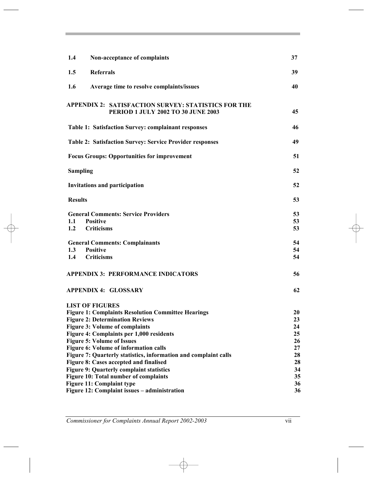| 1.4<br>Non-acceptance of complaints                                                                                                                                                                                                                                                       | 37                               |
|-------------------------------------------------------------------------------------------------------------------------------------------------------------------------------------------------------------------------------------------------------------------------------------------|----------------------------------|
| <b>Referrals</b><br>1.5                                                                                                                                                                                                                                                                   | 39                               |
| 1.6<br>Average time to resolve complaints/issues                                                                                                                                                                                                                                          | 40                               |
| <b>APPENDIX 2: SATISFACTION SURVEY: STATISTICS FOR THE</b><br>PERIOD 1 JULY 2002 TO 30 JUNE 2003                                                                                                                                                                                          | 45                               |
| <b>Table 1: Satisfaction Survey: complainant responses</b>                                                                                                                                                                                                                                | 46                               |
| <b>Table 2: Satisfaction Survey: Service Provider responses</b>                                                                                                                                                                                                                           | 49                               |
| <b>Focus Groups: Opportunities for improvement</b>                                                                                                                                                                                                                                        | 51                               |
| <b>Sampling</b>                                                                                                                                                                                                                                                                           | 52                               |
| <b>Invitations and participation</b>                                                                                                                                                                                                                                                      | 52                               |
| <b>Results</b>                                                                                                                                                                                                                                                                            | 53                               |
| <b>General Comments: Service Providers</b><br><b>Positive</b><br>1.1<br>1.2<br><b>Criticisms</b>                                                                                                                                                                                          | 53<br>53<br>53                   |
| <b>General Comments: Complainants</b><br>1.3<br><b>Positive</b><br>1.4<br><b>Criticisms</b>                                                                                                                                                                                               | 54<br>54<br>54                   |
| <b>APPENDIX 3: PERFORMANCE INDICATORS</b>                                                                                                                                                                                                                                                 | 56                               |
| <b>APPENDIX 4: GLOSSARY</b>                                                                                                                                                                                                                                                               | 62                               |
| <b>LIST OF FIGURES</b><br><b>Figure 1: Complaints Resolution Committee Hearings</b><br><b>Figure 2: Determination Reviews</b><br><b>Figure 3: Volume of complaints</b><br>Figure 4: Complaints per 1,000 residents<br><b>Figure 5: Volume of Issues</b>                                   | 20<br>23<br>24<br>25<br>26       |
| Figure 6: Volume of information calls<br>Figure 7: Quarterly statistics, information and complaint calls<br>Figure 8: Cases accepted and finalised<br><b>Figure 9: Quarterly complaint statistics</b><br><b>Figure 10: Total number of complaints</b><br><b>Figure 11: Complaint type</b> | 27<br>28<br>28<br>34<br>35<br>36 |
| Figure 12: Complaint issues - administration                                                                                                                                                                                                                                              | 36                               |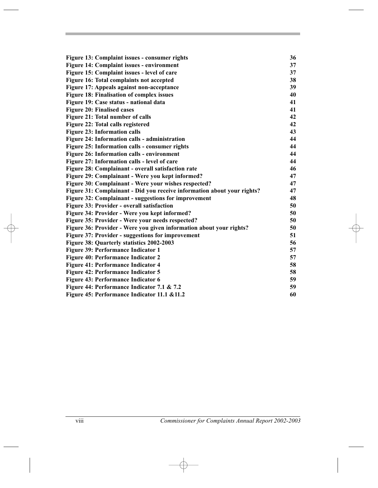| Figure 13: Complaint issues - consumer rights                           | 36 |
|-------------------------------------------------------------------------|----|
| Figure 14: Complaint issues - environment                               | 37 |
| Figure 15: Complaint issues - level of care                             | 37 |
| Figure 16: Total complaints not accepted                                | 38 |
| Figure 17: Appeals against non-acceptance                               | 39 |
| Figure 18: Finalisation of complex issues                               | 40 |
| Figure 19: Case status - national data                                  | 41 |
| <b>Figure 20: Finalised cases</b>                                       | 41 |
| Figure 21: Total number of calls                                        | 42 |
| Figure 22: Total calls registered                                       | 42 |
| <b>Figure 23: Information calls</b>                                     | 43 |
| Figure 24: Information calls - administration                           | 44 |
| Figure 25: Information calls - consumer rights                          | 44 |
| Figure 26: Information calls - environment                              | 44 |
| Figure 27: Information calls - level of care                            | 44 |
| Figure 28: Complainant - overall satisfaction rate                      | 46 |
| Figure 29: Complainant - Were you kept informed?                        | 47 |
| Figure 30: Complainant - Were your wishes respected?                    | 47 |
| Figure 31: Complainant - Did you receive information about your rights? | 47 |
| Figure 32: Complainant - suggestions for improvement                    | 48 |
| Figure 33: Provider - overall satisfaction                              | 50 |
| Figure 34: Provider - Were you kept informed?                           | 50 |
| Figure 35: Provider - Were your needs respected?                        | 50 |
| Figure 36: Provider - Were you given information about your rights?     | 50 |
| Figure 37: Provider - suggestions for improvement                       | 51 |
| Figure 38: Quarterly statistics 2002-2003                               | 56 |
| Figure 39: Performance Indicator 1                                      | 57 |
| Figure 40: Performance Indicator 2                                      | 57 |
| <b>Figure 41: Performance Indicator 4</b>                               | 58 |
| <b>Figure 42: Performance Indicator 5</b>                               | 58 |
| Figure 43: Performance Indicator 6                                      | 59 |
| Figure 44: Performance Indicator 7.1 & 7.2                              | 59 |
| Figure 45: Performance Indicator 11.1 & 11.2                            | 60 |
|                                                                         |    |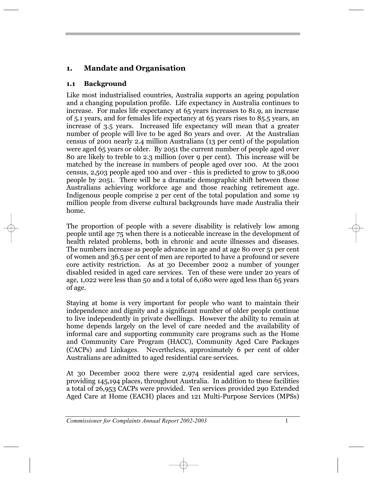## **1. Mandate and Organisation**

#### **1.1 Background**

Like most industrialised countries, Australia supports an ageing population and a changing population profile. Life expectancy in Australia continues to increase. For males life expectancy at 65 years increases to 81.9, an increase of 5.1 years, and for females life expectancy at 65 years rises to 85.5 years, an increase of 3.5 years. Increased life expectancy will mean that a greater number of people will live to be aged 80 years and over. At the Australian census of 2001 nearly 2.4 million Australians (13 per cent) of the population were aged 65 years or older. By 2051 the current number of people aged over 80 are likely to treble to 2.3 million (over 9 per cent). This increase will be matched by the increase in numbers of people aged over 100. At the 2001 census, 2,503 people aged 100 and over - this is predicted to grow to 38,000 people by 2051. There will be a dramatic demographic shift between those Australians achieving workforce age and those reaching retirement age. Indigenous people comprise 2 per cent of the total population and some 19 million people from diverse cultural backgrounds have made Australia their home.

The proportion of people with a severe disability is relatively low among people until age 75 when there is a noticeable increase in the development of health related problems, both in chronic and acute illnesses and diseases. The numbers increase as people advance in age and at age 80 over 51 per cent of women and 36.5 per cent of men are reported to have a profound or severe core activity restriction. As at 30 December 2002 a number of younger disabled resided in aged care services. Ten of these were under 20 years of age, 1,022 were less than 50 and a total of 6,080 were aged less than 65 years of age.

Staying at home is very important for people who want to maintain their independence and dignity and a significant number of older people continue to live independently in private dwellings. However the ability to remain at home depends largely on the level of care needed and the availability of informal care and supporting community care programs such as the Home and Community Care Program (HACC), Community Aged Care Packages (CACPs) and Linkages. Nevertheless, approximately 6 per cent of older Australians are admitted to aged residential care services.

At 30 December 2002 there were 2,974 residential aged care services, providing 145,194 places, throughout Australia. In addition to these facilities a total of 26,953 CACPs were provided. Ten services provided 290 Extended Aged Care at Home (EACH) places and 121 Multi-Purpose Services (MPSs)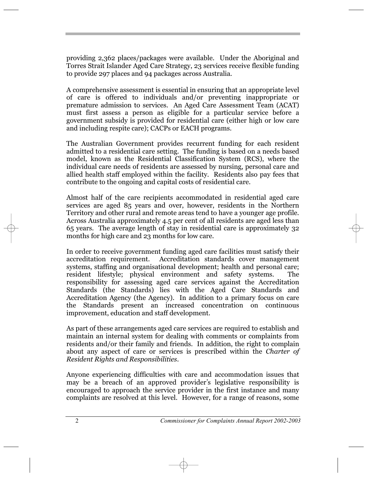providing 2,362 places/packages were available. Under the Aboriginal and Torres Strait Islander Aged Care Strategy, 23 services receive flexible funding to provide 297 places and 94 packages across Australia.

A comprehensive assessment is essential in ensuring that an appropriate level of care is offered to individuals and/or preventing inappropriate or premature admission to services. An Aged Care Assessment Team (ACAT) must first assess a person as eligible for a particular service before a government subsidy is provided for residential care (either high or low care and including respite care); CACPs or EACH programs.

The Australian Government provides recurrent funding for each resident admitted to a residential care setting. The funding is based on a needs based model, known as the Residential Classification System (RCS), where the individual care needs of residents are assessed by nursing, personal care and allied health staff employed within the facility. Residents also pay fees that contribute to the ongoing and capital costs of residential care.

Almost half of the care recipients accommodated in residential aged care services are aged 85 years and over, however, residents in the Northern Territory and other rural and remote areas tend to have a younger age profile. Across Australia approximately 4.5 per cent of all residents are aged less than 65 years. The average length of stay in residential care is approximately 32 months for high care and 23 months for low care.

In order to receive government funding aged care facilities must satisfy their accreditation requirement. Accreditation standards cover management systems, staffing and organisational development; health and personal care; resident lifestyle; physical environment and safety systems. The responsibility for assessing aged care services against the Accreditation Standards (the Standards) lies with the Aged Care Standards and Accreditation Agency (the Agency). In addition to a primary focus on care the Standards present an increased concentration on continuous improvement, education and staff development.

As part of these arrangements aged care services are required to establish and maintain an internal system for dealing with comments or complaints from residents and/or their family and friends. In addition, the right to complain about any aspect of care or services is prescribed within the *Charter of Resident Rights and Responsibilities*.

Anyone experiencing difficulties with care and accommodation issues that may be a breach of an approved provider's legislative responsibility is encouraged to approach the service provider in the first instance and many complaints are resolved at this level. However, for a range of reasons, some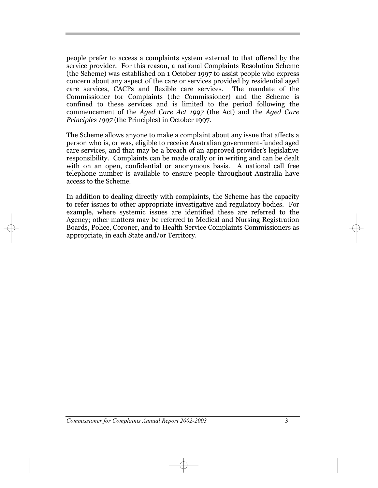people prefer to access a complaints system external to that offered by the service provider. For this reason, a national Complaints Resolution Scheme (the Scheme) was established on 1 October 1997 to assist people who express concern about any aspect of the care or services provided by residential aged care services, CACPs and flexible care services. The mandate of the Commissioner for Complaints (the Commissioner) and the Scheme is confined to these services and is limited to the period following the commencement of the *Aged Care Act 1997* (the Act) and the *Aged Care Principles 1997* (the Principles) in October 1997.

The Scheme allows anyone to make a complaint about any issue that affects a person who is, or was, eligible to receive Australian government-funded aged person who is, or was, engine to receive rustralian government runded aged care services, and that may be a breach of an approved provider's legislative responsibility. Complaints can be made orally or in writing and can be dealt with on an open, confidential or anonymous basis. A national call free telephone number is available to ensure people throughout Australia have access to the Scheme.

In addition to dealing directly with complaints, the Scheme has the capacity to refer issues to other appropriate investigative and regulatory bodies. For example, where systemic issues are identified these are referred to the Agency; other matters may be referred to Medical and Nursing Registration Boards, Police, Coroner, and to Health Service Complaints Commissioners as appropriate, in each State and/or Territory.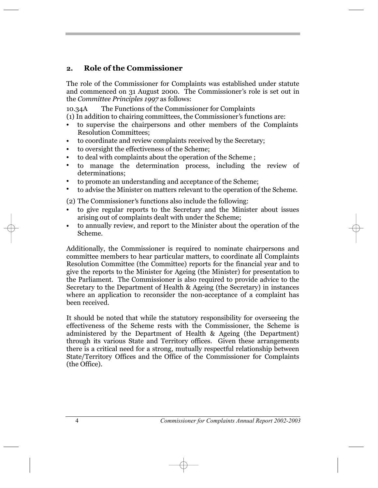## **2. Role of the Commissioner**

The role of the Commissioner for Complaints was established under statute and commenced on 31 August 2000. The Commissioner's role is set out in the *Committee Principles 1997* as follows:

10.34A The Functions of the Commissioner for Complaints

(1) In addition to chairing committees, the Commissioner's functions are:

- **ï** to supervise the chairpersons and other members of the Complaints Resolution Committees;
- to coordinate and review complaints received by the Secretary; **ï**
- to oversight the effectiveness of the Scheme; **ï**
- to deal with complaints about the operation of the Scheme ; **ï**
- to manage the determination process, including the review of determinations; **ï**
- to promote an understanding and acceptance of the Scheme; **ï**
- to advise the Minister on matters relevant to the operation of the Scheme. **ï**

(2) The Commissioner's functions also include the following:

- to give regular reports to the Secretary and the Minister about issues arising out of complaints dealt with under the Scheme; **ï**
- to annually review, and report to the Minister about the operation of the Scheme. **ï**

Additionally, the Commissioner is required to nominate chairpersons and committee members to hear particular matters, to coordinate all Complaints Resolution Committee (the Committee) reports for the financial year and to give the reports to the Minister for Ageing (the Minister) for presentation to the Parliament. The Commissioner is also required to provide advice to the Secretary to the Department of Health & Ageing (the Secretary) in instances where an application to reconsider the non-acceptance of a complaint has been received.

It should be noted that while the statutory responsibility for overseeing the effectiveness of the Scheme rests with the Commissioner, the Scheme is administered by the Department of Health & Ageing (the Department) through its various State and Territory offices. Given these arrangements there is a critical need for a strong, mutually respectful relationship between State/Territory Offices and the Office of the Commissioner for Complaints (the Office).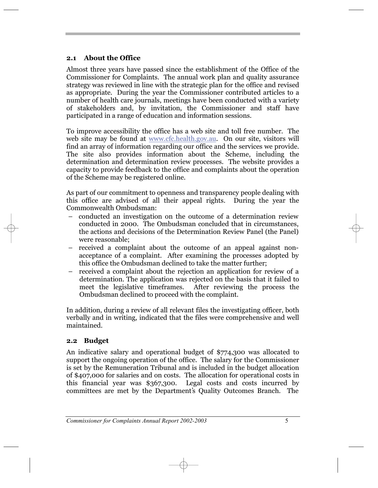#### **2.1 About the Office**

Almost three years have passed since the establishment of the Office of the Commissioner for Complaints. The annual work plan and quality assurance strategy was reviewed in line with the strategic plan for the office and revised as appropriate. During the year the Commissioner contributed articles to a number of health care journals, meetings have been conducted with a variety of stakeholders and, by invitation, the Commissioner and staff have participated in a range of education and information sessions.

To improve accessibility the office has a web site and toll free number. The web site may be found at www.cfc.health.gov.au. On our site, visitors will find an array of information regarding our office and the services we provide. The site also provides information about the Scheme, including the determination and determination review processes. The website provides a capacity to provide feedback to the office and complaints about the operation of the Scheme may be registered online.

As part of our commitment to openness and transparency people dealing with this office are advised of all their appeal rights. During the year the Commonwealth Ombudsman:

- conducted an investigation on the outcome of a determination review conducted in 2000. The Ombudsman concluded that in circumstances, the actions and decisions of the Determination Review Panel (the Panel) were reasonable;
- received a complaint about the outcome of an appeal against nonacceptance of a complaint. After examining the processes adopted by this office the Ombudsman declined to take the matter further;
- received a complaint about the rejection an application for review of a determination. The application was rejected on the basis that it failed to meet the legislative timeframes. After reviewing the process the Ombudsman declined to proceed with the complaint.

In addition, during a review of all relevant files the investigating officer, both verbally and in writing, indicated that the files were comprehensive and well maintained.

## **2.2 Budget**

An indicative salary and operational budget of \$774,300 was allocated to support the ongoing operation of the office. The salary for the Commissioner is set by the Remuneration Tribunal and is included in the budget allocation of \$407,000 for salaries and on costs. The allocation for operational costs in this financial year was \$367,300. Legal costs and costs incurred by committees are met by the Department's Quality Outcomes Branch. The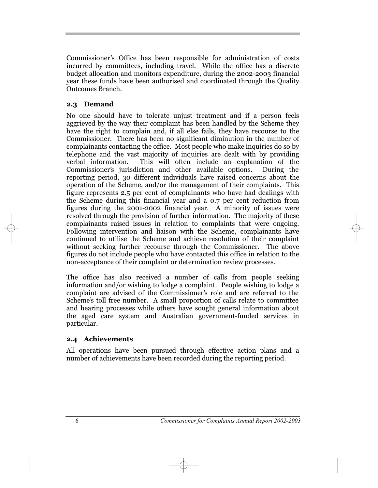Commissioner's Office has been responsible for administration of costs incurred by committees, including travel. While the office has a discrete budget allocation and monitors expenditure, during the 2002-2003 financial year these funds have been authorised and coordinated through the Quality Outcomes Branch.

## **2.3 Demand**

No one should have to tolerate unjust treatment and if a person feels aggrieved by the way their complaint has been handled by the Scheme they have the right to complain and, if all else fails, they have recourse to the Commissioner. There has been no significant diminution in the number of complainants contacting the office. Most people who make inquiries do so by telephone and the vast majority of inquiries are dealt with by providing verbal information. This will often include an explanation of the Commissioner's jurisdiction and other available options. During the reporting period, 30 different individuals have raised concerns about the operation of the Scheme, and/or the management of their complaints. This figure represents 2.5 per cent of complainants who have had dealings with the Scheme during this financial year and a 0.7 per cent reduction from figures during the 2001-2002 financial year. A minority of issues were resolved through the provision of further information. The majority of these complainants raised issues in relation to complaints that were ongoing. Following intervention and liaison with the Scheme, complainants have continued to utilise the Scheme and achieve resolution of their complaint without seeking further recourse through the Commissioner. The above figures do not include people who have contacted this office in relation to the non-acceptance of their complaint or determination review processes.

The office has also received a number of calls from people seeking information and/or wishing to lodge a complaint. People wishing to lodge a mormation and/or wishing to lodge a complaint. Teopic wishing to lodge a<br>complaint are advised of the Commissioner's role and are referred to the complaint are advised of the commissioners fole and are referred to the<br>Scheme's toll free number. A small proportion of calls relate to committee and hearing processes while others have sought general information about the aged care system and Australian government-funded services in particular.

#### **2.4 Achievements**

All operations have been pursued through effective action plans and a number of achievements have been recorded during the reporting period.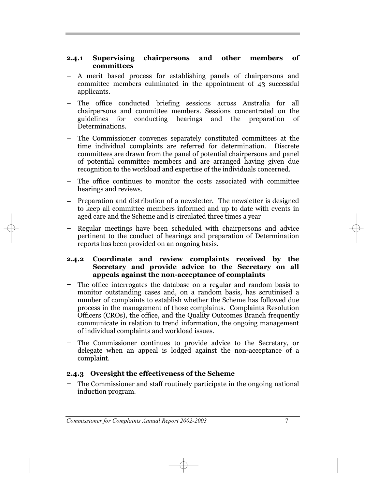#### **2.4.1 Supervising chairpersons and other members of committees**

- A merit based process for establishing panels of chairpersons and committee members culminated in the appointment of 43 successful applicants. ñ
- The office conducted briefing sessions across Australia for all chairpersons and committee members. Sessions concentrated on the conducting hearings and the preparation of Determinations. ñ
- The Commissioner convenes separately constituted committees at the time individual complaints are referred for determination. Discrete committees are drawn from the panel of potential chairpersons and panel of potential committee members and are arranged having given due recognition to the workload and expertise of the individuals concerned.
- The office continues to monitor the costs associated with committee ñ hearings and reviews.
- Preparation and distribution of a newsletter. The newsletter is designed to keep all committee members informed and up to date with events in aged care and the Scheme and is circulated three times a year ñ
- Regular meetings have been scheduled with chairpersons and advice pertinent to the conduct of hearings and preparation of Determination reports has been provided on an ongoing basis. ñ

#### **2.4.2 Coordinate and review complaints received by the Secretary and provide advice to the Secretary on all appeals against the non-acceptance of complaints**

- The office interrogates the database on a regular and random basis to monitor outstanding cases and, on a random basis, has scrutinised a number of complaints to establish whether the Scheme has followed due process in the management of those complaints. Complaints Resolution Officers (CROs), the office, and the Quality Outcomes Branch frequently communicate in relation to trend information, the ongoing management of individual complaints and workload issues. ñ
- The Commissioner continues to provide advice to the Secretary, or delegate when an appeal is lodged against the non-acceptance of a complaint. ñ

#### **2.4.3 Oversight the effectiveness of the Scheme**

The Commissioner and staff routinely participate in the ongoing national induction program. ñ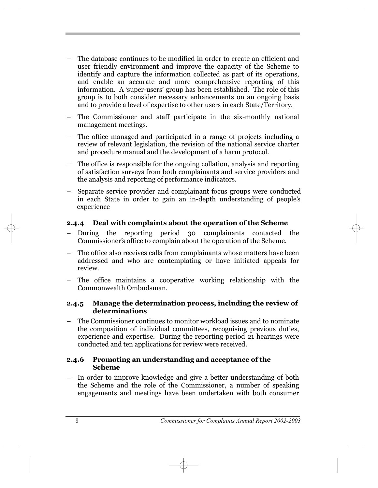- The database continues to be modified in order to create an efficient and user friendly environment and improve the capacity of the Scheme to identify and capture the information collected as part of its operations, and enable an accurate and more comprehensive reporting of this information. A 'super-users' group has been established. The role of this group is to both consider necessary enhancements on an ongoing basis and to provide a level of expertise to other users in each State/Territory.
- The Commissioner and staff participate in the six-monthly national management meetings.
- The office managed and participated in a range of projects including a review of relevant legislation, the revision of the national service charter and procedure manual and the development of a harm protocol. ñ
- The office is responsible for the ongoing collation, analysis and reporting of satisfaction surveys from both complainants and service providers and the analysis and reporting of performance indicators.
- Separate service provider and complainant focus groups were conducted in each State in order to gain an in-depth understanding of people's experience ñ

#### **2.4.4 Deal with complaints about the operation of the Scheme**

- During the reporting period 30 complainants contacted the During the reporting period 30 complainants contacted<br>Commissioner's office to complain about the operation of the Scheme. ñ
- The office also receives calls from complainants whose matters have been addressed and who are contemplating or have initiated appeals for review. ñ
- The office maintains a cooperative working relationship with the Commonwealth Ombudsman.

#### **2.4.5 Manage the determination process, including the review of determinations**

The Commissioner continues to monitor workload issues and to nominate the composition of individual committees, recognising previous duties, experience and expertise. During the reporting period 21 hearings were conducted and ten applications for review were received. ñ

#### **2.4.6 Promoting an understanding and acceptance of the Scheme**

In order to improve knowledge and give a better understanding of both the Scheme and the role of the Commissioner, a number of speaking engagements and meetings have been undertaken with both consumer ñ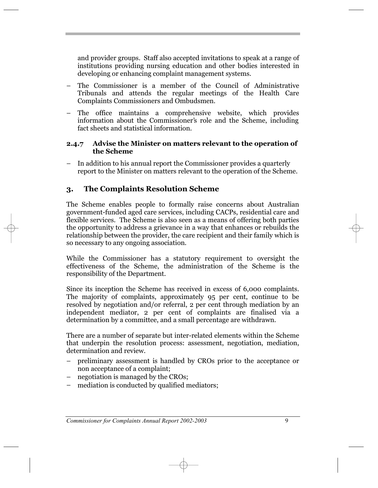and provider groups. Staff also accepted invitations to speak at a range of institutions providing nursing education and other bodies interested in developing or enhancing complaint management systems.

- The Commissioner is a member of the Council of Administrative Tribunals and attends the regular meetings of the Health Care Complaints Commissioners and Ombudsmen. ñ
- The office maintains a comprehensive website, which provides information about the Commissioner's role and the Scheme, including fact sheets and statistical information. ñ

#### **2.4.7 Advise the Minister on matters relevant to the operation of the Scheme**

In addition to his annual report the Commissioner provides a quarterly report to the Minister on matters relevant to the operation of the Scheme. ñ

## **3. The Complaints Resolution Scheme**

The Scheme enables people to formally raise concerns about Australian government-funded aged care services, including CACPs, residential care and flexible services. The Scheme is also seen as a means of offering both parties the opportunity to address a grievance in a way that enhances or rebuilds the relationship between the provider, the care recipient and their family which is so necessary to any ongoing association.

While the Commissioner has a statutory requirement to oversight the effectiveness of the Scheme, the administration of the Scheme is the responsibility of the Department.

Since its inception the Scheme has received in excess of 6,000 complaints. The majority of complaints, approximately 95 per cent, continue to be resolved by negotiation and/or referral, 2 per cent through mediation by an independent mediator, 2 per cent of complaints are finalised via a determination by a committee, and a small percentage are withdrawn.

There are a number of separate but inter-related elements within the Scheme that underpin the resolution process: assessment, negotiation, mediation, determination and review.

- preliminary assessment is handled by CROs prior to the acceptance or non acceptance of a complaint; ñ
- negotiation is managed by the CROs;  $\overline{\phantom{0}}$
- mediation is conducted by qualified mediators; ñ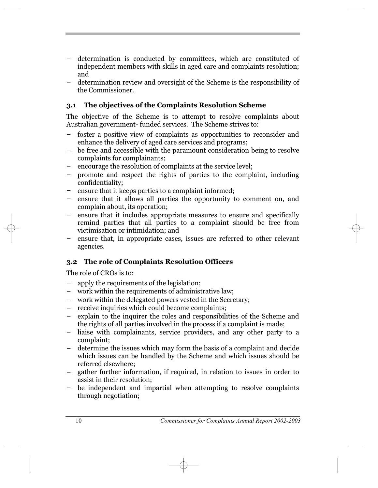- determination is conducted by committees, which are constituted of independent members with skills in aged care and complaints resolution; and ñ
- determination review and oversight of the Scheme is the responsibility of the Commissioner. ñ

## **3.1 The objectives of the Complaints Resolution Scheme**

The objective of the Scheme is to attempt to resolve complaints about Australian government- funded services. The Scheme strives to:

- foster a positive view of complaints as opportunities to reconsider and enhance the delivery of aged care services and programs; ñ
- be free and accessible with the paramount consideration being to resolve complaints for complainants; ñ
- encourage the resolution of complaints at the service level; ñ
- promote and respect the rights of parties to the complaint, including confidentiality; ñ
- ensure that it keeps parties to a complaint informed; ñ
- ensure that it allows all parties the opportunity to comment on, and complain about, its operation;  $\overline{a}$
- ensure that it includes appropriate measures to ensure and specifically remind parties that all parties to a complaint should be free from victimisation or intimidation; and ñ
- ensure that, in appropriate cases, issues are referred to other relevant agencies.  $\overline{\phantom{0}}$

## **3.2 The role of Complaints Resolution Officers**

The role of CROs is to:

- apply the requirements of the legislation; ñ
- work within the requirements of administrative law;  $\overline{\phantom{0}}$
- work within the delegated powers vested in the Secretary; ñ
- receive inquiries which could become complaints;  $\overline{\phantom{0}}$
- explain to the inquirer the roles and responsibilities of the Scheme and the rights of all parties involved in the process if a complaint is made; ñ
- liaise with complainants, service providers, and any other party to a complaint; ñ
- determine the issues which may form the basis of a complaint and decide which issues can be handled by the Scheme and which issues should be referred elsewhere; ñ
- gather further information, if required, in relation to issues in order to assist in their resolution; ñ
- be independent and impartial when attempting to resolve complaints through negotiation; ñ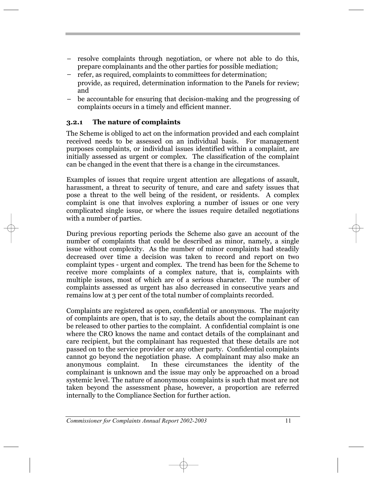- resolve complaints through negotiation, or where not able to do this, prepare complainants and the other parties for possible mediation;
- refer, as required, complaints to committees for determination; provide, as required, determination information to the Panels for review; and ñ
- be accountable for ensuring that decision-making and the progressing of complaints occurs in a timely and efficient manner.  $\overline{\phantom{0}}$

#### **3.2.1 The nature of complaints**

The Scheme is obliged to act on the information provided and each complaint received needs to be assessed on an individual basis. For management purposes complaints, or individual issues identified within a complaint, are initially assessed as urgent or complex. The classification of the complaint can be changed in the event that there is a change in the circumstances.

Examples of issues that require urgent attention are allegations of assault, harassment, a threat to security of tenure, and care and safety issues that pose a threat to the well being of the resident, or residents. A complex complaint is one that involves exploring a number of issues or one very complicated single issue, or where the issues require detailed negotiations with a number of parties.

During previous reporting periods the Scheme also gave an account of the number of complaints that could be described as minor, namely, a single issue without complexity. As the number of minor complaints had steadily decreased over time a decision was taken to record and report on two complaint types - urgent and complex. The trend has been for the Scheme to receive more complaints of a complex nature, that is, complaints with multiple issues, most of which are of a serious character. The number of complaints assessed as urgent has also decreased in consecutive years and remains low at 3 per cent of the total number of complaints recorded.

Complaints are registered as open, confidential or anonymous. The majority of complaints are open, that is to say, the details about the complainant can be released to other parties to the complaint. A confidential complaint is one where the CRO knows the name and contact details of the complainant and care recipient, but the complainant has requested that these details are not passed on to the service provider or any other party. Confidential complaints cannot go beyond the negotiation phase. A complainant may also make an anonymous complaint. In these circumstances the identity of the complainant is unknown and the issue may only be approached on a broad systemic level. The nature of anonymous complaints is such that most are not taken beyond the assessment phase, however, a proportion are referred internally to the Compliance Section for further action.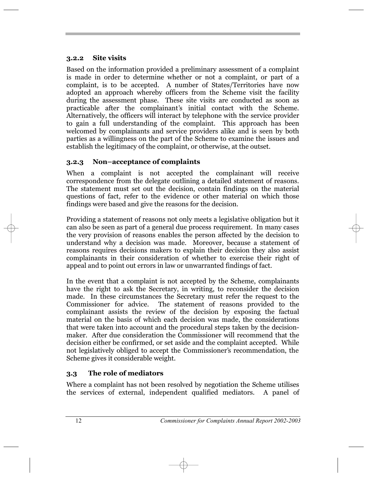#### **3.2.2 Site visits**

Based on the information provided a preliminary assessment of a complaint is made in order to determine whether or not a complaint, or part of a complaint, is to be accepted. A number of States/Territories have now adopted an approach whereby officers from the Scheme visit the facility during the assessment phase. These site visits are conducted as soon as airing the assessment phase. These she visits are conducted as soon as<br>practicable after the complainant's initial contact with the Scheme. Alternatively, the officers will interact by telephone with the service provider to gain a full understanding of the complaint. This approach has been welcomed by complainants and service providers alike and is seen by both parties as a willingness on the part of the Scheme to examine the issues and establish the legitimacy of the complaint, or otherwise, at the outset.

## **3.2.3** Non-acceptance of complaints

When a complaint is not accepted the complainant will receive correspondence from the delegate outlining a detailed statement of reasons. The statement must set out the decision, contain findings on the material questions of fact, refer to the evidence or other material on which those findings were based and give the reasons for the decision.

Providing a statement of reasons not only meets a legislative obligation but it can also be seen as part of a general due process requirement. In many cases the very provision of reasons enables the person affected by the decision to understand why a decision was made. Moreover, because a statement of reasons requires decisions makers to explain their decision they also assist complainants in their consideration of whether to exercise their right of appeal and to point out errors in law or unwarranted findings of fact.

In the event that a complaint is not accepted by the Scheme, complainants have the right to ask the Secretary, in writing, to reconsider the decision made. In these circumstances the Secretary must refer the request to the Commissioner for advice. The statement of reasons provided to the complainant assists the review of the decision by exposing the factual material on the basis of which each decision was made, the considerations that were taken into account and the procedural steps taken by the decisionmaker. After due consideration the Commissioner will recommend that the decision either be confirmed, or set aside and the complaint accepted. While not legislatively obliged to accept the Commissioner's recommendation, the Scheme gives it considerable weight.

## **3.3 The role of mediators**

Where a complaint has not been resolved by negotiation the Scheme utilises the services of external, independent qualified mediators. A panel of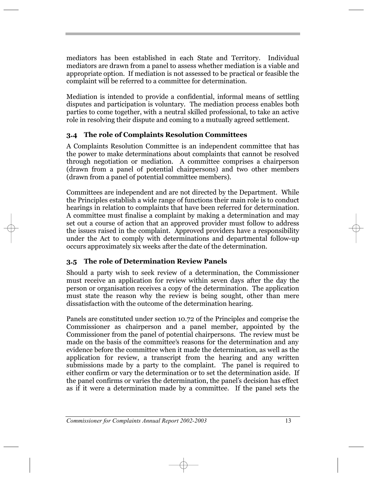mediators has been established in each State and Territory. Individual mediators are drawn from a panel to assess whether mediation is a viable and appropriate option. If mediation is not assessed to be practical or feasible the complaint will be referred to a committee for determination.

Mediation is intended to provide a confidential, informal means of settling disputes and participation is voluntary. The mediation process enables both parties to come together, with a neutral skilled professional, to take an active role in resolving their dispute and coming to a mutually agreed settlement.

## **3.4 The role of Complaints Resolution Committees**

A Complaints Resolution Committee is an independent committee that has the power to make determinations about complaints that cannot be resolved through negotiation or mediation. A committee comprises a chairperson (drawn from a panel of potential chairpersons) and two other members (drawn from a panel of potential committee members).

Committees are independent and are not directed by the Department. While the Principles establish a wide range of functions their main role is to conduct hearings in relation to complaints that have been referred for determination. A committee must finalise a complaint by making a determination and may set out a course of action that an approved provider must follow to address the issues raised in the complaint. Approved providers have a responsibility under the Act to comply with determinations and departmental follow-up occurs approximately six weeks after the date of the determination.

## **3.5 The role of Determination Review Panels**

Should a party wish to seek review of a determination, the Commissioner must receive an application for review within seven days after the day the person or organisation receives a copy of the determination. The application must state the reason why the review is being sought, other than mere dissatisfaction with the outcome of the determination hearing.

Panels are constituted under section 10.72 of the Principle*s* and comprise the Commissioner as chairperson and a panel member, appointed by the Commissioner from the panel of potential chairpersons. The review must be commissioner from the paner of potential enargersons. The review must be made on the basis of the committee's reasons for the determination and any evidence before the committee when it made the determination, as well as the application for review, a transcript from the hearing and any written submissions made by a party to the complaint. The panel is required to either confirm or vary the determination or to set the determination aside. If the panel confirms or varies the determination, the panel's decision has effect as if it were a determination made by a committee. If the panel sets the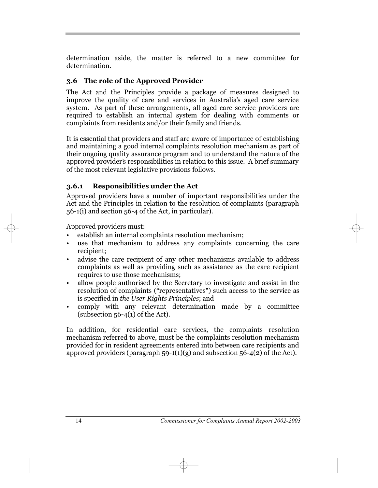determination aside, the matter is referred to a new committee for determination.

## **3.6 The role of the Approved Provider**

The Act and the Principles provide a package of measures designed to improve the quality of care and services in Australia's aged care service system. As part of these arrangements, all aged care service providers are required to establish an internal system for dealing with comments or complaints from residents and/or their family and friends.

It is essential that providers and staff are aware of importance of establishing and maintaining a good internal complaints resolution mechanism as part of their ongoing quality assurance program and to understand the nature of the approved provider's responsibilities in relation to this issue. A brief summary of the most relevant legislative provisions follows.

## **3.6.1 Responsibilities under the Act**

Approved providers have a number of important responsibilities under the Act and the Principles in relation to the resolution of complaints (paragraph 56-1(i) and section 56-4 of the Act, in particular).

Approved providers must:

- establish an internal complaints resolution mechanism;
- use that mechanism to address any complaints concerning the care recipient;  $\bullet$
- advise the care recipient of any other mechanisms available to address complaints as well as providing such as assistance as the care recipient requires to use those mechanisms; ï
- allow people authorised by the Secretary to investigate and assist in the allow people authorised by the secretary to investigate and assist in the resolution of complaints ("representatives") such access to the service as is specified in *the User Rights Principles*; and ï
- comply with any relevant determination made by a committee (subsection  $56-4(1)$  of the Act). ï

In addition, for residential care services, the complaints resolution mechanism referred to above, must be the complaints resolution mechanism provided for in resident agreements entered into between care recipients and approved providers (paragraph  $59-1(1)(g)$  and subsection  $56-4(2)$  of the Act).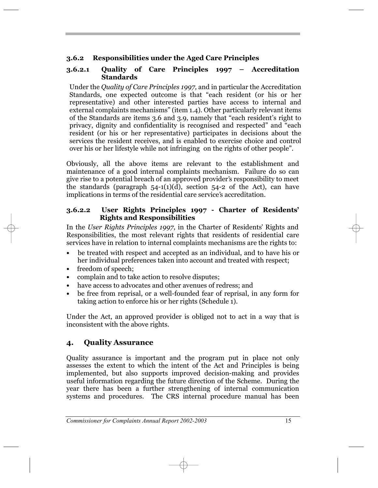## **3.6.2 Responsibilities under the Aged Care Principles**

#### **3.6.2.1 Quality of Care Principles 1997 – Accreditation Standards**

Under the *Quality of Care Principles 1997*, and in particular the Accreditation Under the *Quality of Care Principles 1997*, and in particular the Accreditation Standards, one expected outcome is that "each resident (or his or her representative) and other interested parties have access to internal and representative) and other interested parties have access to internal and external complaints mechanisms" (item 1.4). Other particularly relevant items of the Standards are items 3.6 and 3.9, namely that "each resident's right to or the standards are nems 3.0 and 3.9, namely that each resident s right to<br>privacy, dignity and confidentiality is recognised and respected" and "each resident (or his or her representative) participates in decisions about the services the resident receives, and is enabled to exercise choice and control services the resident receives, and is enabled to exercise choice and controver his or her lifestyle while not infringing on the rights of other people".

Obviously, all the above items are relevant to the establishment and maintenance of a good internal complaints mechanism. Failure do so can manichance or a good internal complaints incending. France do so can<br>give rise to a potential breach of an approved provider's responsibility to meet the standards (paragraph  $54-1(1)(d)$ , section  $54-2$  of the Act), can have implications in terms of the residential care service's accreditation.

## **3.6.2.2 User Rights Principles 1997 - Charter of Residents , Rights and Responsibilities**

In the *User Rights Principles 1997*, in the Charter of Residents' Rights and Responsibilities, the most relevant rights that residents of residential care services have in relation to internal complaints mechanisms are the rights to:

- **ï** be treated with respect and accepted as an individual, and to have his or her individual preferences taken into account and treated with respect;
- freedom of speech;
- **ï** complain and to take action to resolve disputes;
- have access to advocates and other avenues of redress; and
- **ï** be free from reprisal, or a well-founded fear of reprisal, in any form for taking action to enforce his or her rights (Schedule 1).

Under the Act, an approved provider is obliged not to act in a way that is inconsistent with the above rights.

## **4. Quality Assurance**

Quality assurance is important and the program put in place not only assesses the extent to which the intent of the Act and Principles is being implemented, but also supports improved decision-making and provides useful information regarding the future direction of the Scheme. During the year there has been a further strengthening of internal communication systems and procedures. The CRS internal procedure manual has been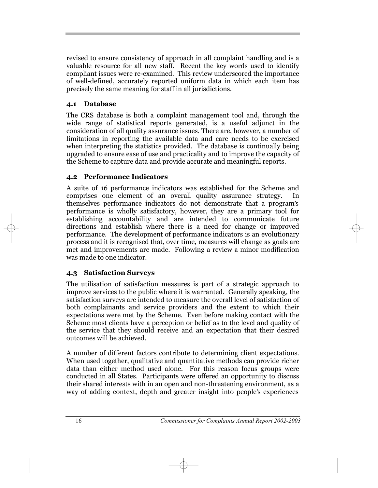revised to ensure consistency of approach in all complaint handling and is a valuable resource for all new staff. Recent the key words used to identify compliant issues were re-examined. This review underscored the importance of well-defined, accurately reported uniform data in which each item has precisely the same meaning for staff in all jurisdictions.

## **4.1 Database**

The CRS database is both a complaint management tool and, through the wide range of statistical reports generated, is a useful adjunct in the consideration of all quality assurance issues. There are, however, a number of limitations in reporting the available data and care needs to be exercised when interpreting the statistics provided. The database is continually being upgraded to ensure ease of use and practicality and to improve the capacity of the Scheme to capture data and provide accurate and meaningful reports.

## **4.2 Performance Indicators**

A suite of 16 performance indicators was established for the Scheme and comprises one element of an overall quality assurance strategy. In themselves performance indicators do not demonstrate that a program s , performance is wholly satisfactory, however, they are a primary tool for establishing accountability and are intended to communicate future directions and establish where there is a need for change or improved performance. The development of performance indicators is an evolutionary process and it is recognised that, over time, measures will change as goals are met and improvements are made. Following a review a minor modification was made to one indicator.

## **4.3 Satisfaction Surveys**

The utilisation of satisfaction measures is part of a strategic approach to improve services to the public where it is warranted. Generally speaking, the satisfaction surveys are intended to measure the overall level of satisfaction of both complainants and service providers and the extent to which their expectations were met by the Scheme. Even before making contact with the Scheme most clients have a perception or belief as to the level and quality of the service that they should receive and an expectation that their desired outcomes will be achieved.

A number of different factors contribute to determining client expectations. When used together, qualitative and quantitative methods can provide richer data than either method used alone. For this reason focus groups were conducted in all States. Participants were offered an opportunity to discuss their shared interests with in an open and non-threatening environment, as a way of adding context, depth and greater insight into people's experiences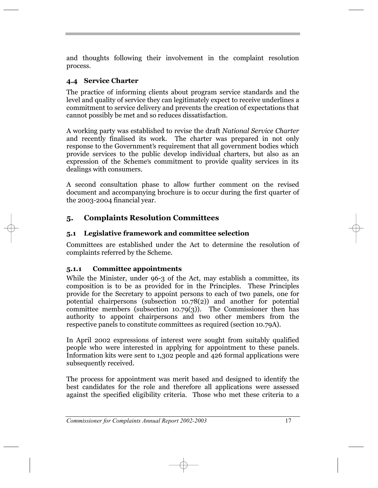and thoughts following their involvement in the complaint resolution process.

## **4.4 Service Charter**

The practice of informing clients about program service standards and the level and quality of service they can legitimately expect to receive underlines a commitment to service delivery and prevents the creation of expectations that cannot possibly be met and so reduces dissatisfaction.

A working party was established to revise the draft *National Service Charter* and recently finalised its work. The charter was prepared in not only response to the Government's requirement that all government bodies which provide services to the public develop individual charters, but also as an expression of the Scheme's commitment to provide quality services in its dealings with consumers.

A second consultation phase to allow further comment on the revised document and accompanying brochure is to occur during the first quarter of the 2003-2004 financial year.

## **5. Complaints Resolution Committees**

## **5.1 Legislative framework and committee selection**

Committees are established under the Act to determine the resolution of complaints referred by the Scheme.

## **5.1.1 Committee appointments**

While the Minister, under 96-3 of the Act, may establish a committee, its composition is to be as provided for in the Principles. These Principles provide for the Secretary to appoint persons to each of two panels, one for potential chairpersons (subsection 10.78(2)) and another for potential committee members (subsection 10.79(3)). The Commissioner then has authority to appoint chairpersons and two other members from the respective panels to constitute committees as required (section 10.79A).

In April 2002 expressions of interest were sought from suitably qualified people who were interested in applying for appointment to these panels. Information kits were sent to 1,302 people and 426 formal applications were subsequently received.

The process for appointment was merit based and designed to identify the best candidates for the role and therefore all applications were assessed against the specified eligibility criteria. Those who met these criteria to a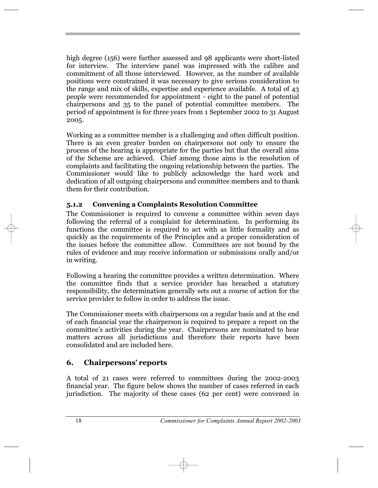high degree (156) were further assessed and 98 applicants were short-listed for interview. The interview panel was impressed with the calibre and commitment of all those interviewed. However, as the number of available positions were constrained it was necessary to give serious consideration to the range and mix of skills, expertise and experience available. A total of 43 people were recommended for appointment - eight to the panel of potential chairpersons and 35 to the panel of potential committee members. The period of appointment is for three years from 1 September 2002 to 31 August 2005.

Working as a committee member is a challenging and often difficult position. There is an even greater burden on chairpersons not only to ensure the process of the hearing is appropriate for the parties but that the overall aims of the Scheme are achieved. Chief among those aims is the resolution of complaints and facilitating the ongoing relationship between the parties. The Commissioner would like to publicly acknowledge the hard work and dedication of all outgoing chairpersons and committee members and to thank them for their contribution.

## **5.1.2 Convening a Complaints Resolution Committee**

The Commissioner is required to convene a committee within seven days following the referral of a complaint for determination. In performing its functions the committee is required to act with as little formality and as quickly as the requirements of the Principles and a proper consideration of the issues before the committee allow. Committees are not bound by the rules of evidence and may receive information or submissions orally and/or in writing.

Following a hearing the committee provides a written determination. Where the committee finds that a service provider has breached a statutory responsibility, the determination generally sets out a course of action for the service provider to follow in order to address the issue.

The Commissioner meets with chairpersons on a regular basis and at the end of each financial year the chairperson is required to prepare a report on the or each miancial year the enamperson is required to prepare a report on the<br>committee's activities during the year. Chairpersons are nominated to hear matters across all jurisdictions and therefore their reports have been consolidated and are included here.

# **6.** Chairpersons' reports

A total of 21 cases were referred to committees during the 2002-2003 financial year. The figure below shows the number of cases referred in each jurisdiction. The majority of these cases (62 per cent) were convened in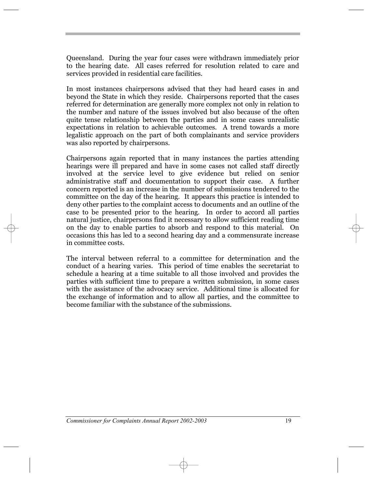Queensland. During the year four cases were withdrawn immediately prior to the hearing date. All cases referred for resolution related to care and services provided in residential care facilities.

In most instances chairpersons advised that they had heard cases in and beyond the State in which they reside. Chairpersons reported that the cases referred for determination are generally more complex not only in relation to the number and nature of the issues involved but also because of the often quite tense relationship between the parties and in some cases unrealistic expectations in relation to achievable outcomes. A trend towards a more legalistic approach on the part of both complainants and service providers was also reported by chairpersons.

Chairpersons again reported that in many instances the parties attending hearings were ill prepared and have in some cases not called staff directly involved at the service level to give evidence but relied on senior administrative staff and documentation to support their case. A further concern reported is an increase in the number of submissions tendered to the committee on the day of the hearing. It appears this practice is intended to deny other parties to the complaint access to documents and an outline of the case to be presented prior to the hearing. In order to accord all parties natural justice, chairpersons find it necessary to allow sufficient reading time on the day to enable parties to absorb and respond to this material. On occasions this has led to a second hearing day and a commensurate increase in committee costs.

The interval between referral to a committee for determination and the conduct of a hearing varies. This period of time enables the secretariat to schedule a hearing at a time suitable to all those involved and provides the parties with sufficient time to prepare a written submission, in some cases with the assistance of the advocacy service. Additional time is allocated for the exchange of information and to allow all parties, and the committee to become familiar with the substance of the submissions.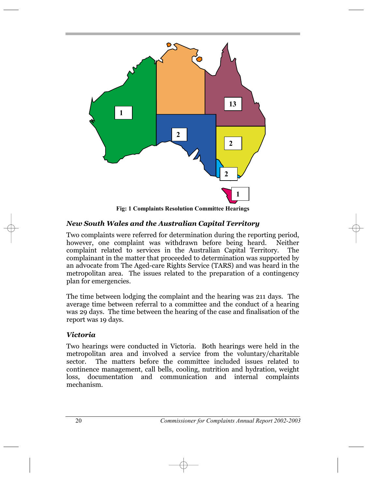

*New South Wales and the Australian Capital Territory*

Two complaints were referred for determination during the reporting period, however, one complaint was withdrawn before being heard. Neither complaint related to services in the Australian Capital Territory. The complainant in the matter that proceeded to determination was supported by an advocate from The Aged-care Rights Service (TARS) and was heard in the metropolitan area. The issues related to the preparation of a contingency plan for emergencies.

The time between lodging the complaint and the hearing was 211 days. The average time between referral to a committee and the conduct of a hearing was 29 days. The time between the hearing of the case and finalisation of the report was 19 days.

## *Victoria*

Two hearings were conducted in Victoria. Both hearings were held in the metropolitan area and involved a service from the voluntary/charitable sector. The matters before the committee included issues related to continence management, call bells, cooling, nutrition and hydration, weight loss, documentation and communication and internal complaints mechanism.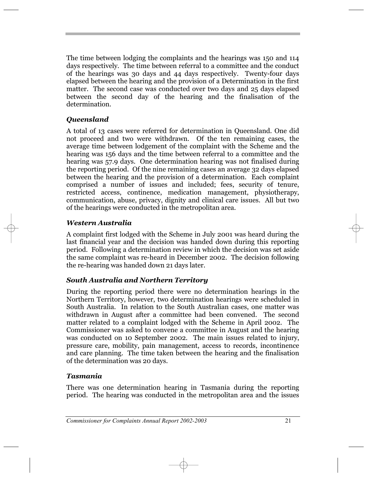The time between lodging the complaints and the hearings was 150 and 114 days respectively. The time between referral to a committee and the conduct of the hearings was 30 days and 44 days respectively. Twenty-four days elapsed between the hearing and the provision of a Determination in the first matter. The second case was conducted over two days and 25 days elapsed between the second day of the hearing and the finalisation of the determination.

## *Queensland*

A total of 13 cases were referred for determination in Queensland. One did not proceed and two were withdrawn. Of the ten remaining cases, the average time between lodgement of the complaint with the Scheme and the hearing was 156 days and the time between referral to a committee and the hearing was 57.9 days. One determination hearing was not finalised during the reporting period. Of the nine remaining cases an average 32 days elapsed between the hearing and the provision of a determination. Each complaint comprised a number of issues and included; fees, security of tenure, restricted access, continence, medication management, physiotherapy, communication, abuse, privacy, dignity and clinical care issues. All but two of the hearings were conducted in the metropolitan area.

## *Western Australia*

A complaint first lodged with the Scheme in July 2001 was heard during the last financial year and the decision was handed down during this reporting period. Following a determination review in which the decision was set aside the same complaint was re-heard in December 2002. The decision following the re-hearing was handed down 21 days later.

## *South Australia and Northern Territory*

During the reporting period there were no determination hearings in the Northern Territory, however, two determination hearings were scheduled in South Australia. In relation to the South Australian cases, one matter was withdrawn in August after a committee had been convened. The second matter related to a complaint lodged with the Scheme in April 2002. The Commissioner was asked to convene a committee in August and the hearing was conducted on 10 September 2002. The main issues related to injury, pressure care, mobility, pain management, access to records, incontinence and care planning. The time taken between the hearing and the finalisation of the determination was 20 days.

## *Tasmania*

There was one determination hearing in Tasmania during the reporting period. The hearing was conducted in the metropolitan area and the issues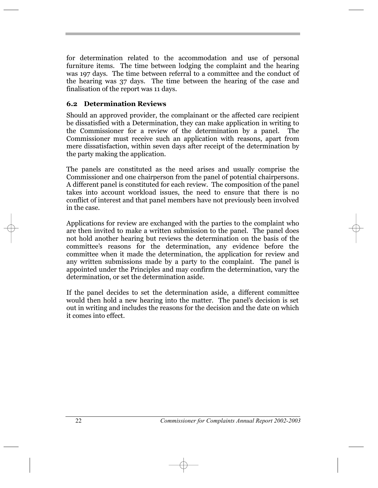for determination related to the accommodation and use of personal furniture items. The time between lodging the complaint and the hearing was 197 days. The time between referral to a committee and the conduct of the hearing was 37 days. The time between the hearing of the case and finalisation of the report was 11 days.

#### **6.2 Determination Reviews**

Should an approved provider, the complainant or the affected care recipient be dissatisfied with a Determination, they can make application in writing to the Commissioner for a review of the determination by a panel. The Commissioner must receive such an application with reasons, apart from mere dissatisfaction, within seven days after receipt of the determination by the party making the application.

The panels are constituted as the need arises and usually comprise the Commissioner and one chairperson from the panel of potential chairpersons. A different panel is constituted for each review. The composition of the panel takes into account workload issues, the need to ensure that there is no conflict of interest and that panel members have not previously been involved in the case.

Applications for review are exchanged with the parties to the complaint who are then invited to make a written submission to the panel. The panel does not hold another hearing but reviews the determination on the basis of the committee's reasons for the determination, any evidence before the committee when it made the determination, the application for review and any written submissions made by a party to the complaint. The panel is appointed under the Principles and may confirm the determination, vary the determination, or set the determination aside.

If the panel decides to set the determination aside, a different committee would then hold a new hearing into the matter. The panel's decision is set out in writing and includes the reasons for the decision and the date on which it comes into effect.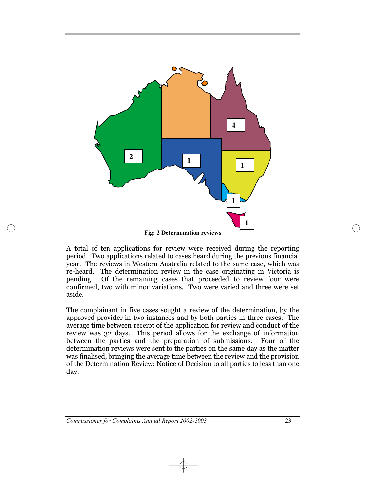

**Fig: 2 Determination reviews**

A total of ten applications for review were received during the reporting period. Two applications related to cases heard during the previous financial year. The reviews in Western Australia related to the same case, which was re-heard. The determination review in the case originating in Victoria is pending. Of the remaining cases that proceeded to review four were confirmed, two with minor variations. Two were varied and three were set aside.

The complainant in five cases sought a review of the determination, by the approved provider in two instances and by both parties in three cases. The average time between receipt of the application for review and conduct of the review was 32 days. This period allows for the exchange of information between the parties and the preparation of submissions. Four of the determination reviews were sent to the parties on the same day as the matter was finalised, bringing the average time between the review and the provision of the Determination Review: Notice of Decision to all parties to less than one day.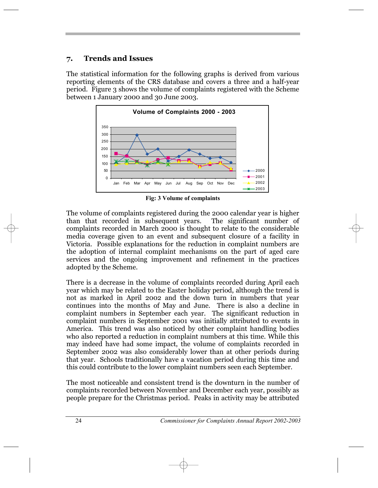## **7. Trends and Issues**

The statistical information for the following graphs is derived from various reporting elements of the CRS database and covers a three and a half-year period. Figure 3 shows the volume of complaints registered with the Scheme between 1 January 2000 and 30 June 2003.



**Fig: 3 Volume of complaints**

The volume of complaints registered during the 2000 calendar year is higher than that recorded in subsequent years. The significant number of complaints recorded in March 2000 is thought to relate to the considerable media coverage given to an event and subsequent closure of a facility in Victoria. Possible explanations for the reduction in complaint numbers are the adoption of internal complaint mechanisms on the part of aged care services and the ongoing improvement and refinement in the practices adopted by the Scheme.

There is a decrease in the volume of complaints recorded during April each year which may be related to the Easter holiday period, although the trend is not as marked in April 2002 and the down turn in numbers that year continues into the months of May and June. There is also a decline in complaint numbers in September each year. The significant reduction in complaint numbers in September 2001 was initially attributed to events in America. This trend was also noticed by other complaint handling bodies who also reported a reduction in complaint numbers at this time. While this may indeed have had some impact, the volume of complaints recorded in September 2002 was also considerably lower than at other periods during that year. Schools traditionally have a vacation period during this time and this could contribute to the lower complaint numbers seen each September.

The most noticeable and consistent trend is the downturn in the number of complaints recorded between November and December each year, possibly as people prepare for the Christmas period. Peaks in activity may be attributed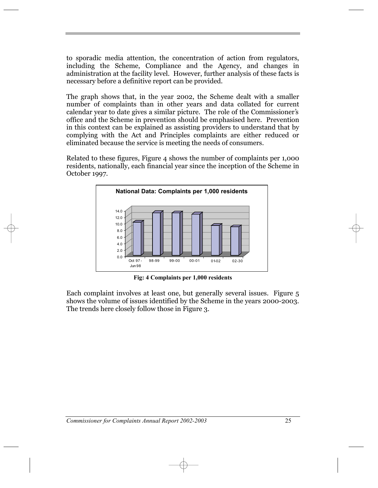to sporadic media attention, the concentration of action from regulators, including the Scheme, Compliance and the Agency, and changes in administration at the facility level. However, further analysis of these facts is necessary before a definitive report can be provided.

The graph shows that, in the year 2002, the Scheme dealt with a smaller number of complaints than in other years and data collated for current ramber of complaints than in other years and data conated for current calendar year to date gives a similar picture. The role of the Commissioner's office and the Scheme in prevention should be emphasised here. Prevention in this context can be explained as assisting providers to understand that by complying with the Act and Principles complaints are either reduced or eliminated because the service is meeting the needs of consumers.

Related to these figures, Figure 4 shows the number of complaints per 1,000 residents, nationally, each financial year since the inception of the Scheme in October 1997.



**Fig: 4 Complaints per 1,000 residents**

Each complaint involves at least one, but generally several issues. Figure 5 shows the volume of issues identified by the Scheme in the years 2000-2003. The trends here closely follow those in Figure 3.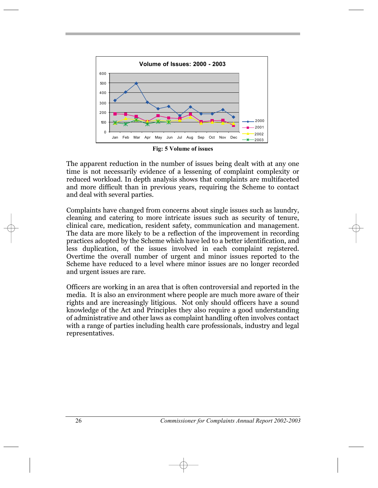

**Fig: 5 Volume of issues**

The apparent reduction in the number of issues being dealt with at any one time is not necessarily evidence of a lessening of complaint complexity or reduced workload. In depth analysis shows that complaints are multifaceted and more difficult than in previous years, requiring the Scheme to contact and deal with several parties.

Complaints have changed from concerns about single issues such as laundry, cleaning and catering to more intricate issues such as security of tenure, clinical care, medication, resident safety, communication and management. The data are more likely to be a reflection of the improvement in recording practices adopted by the Scheme which have led to a better identification, and less duplication, of the issues involved in each complaint registered. Overtime the overall number of urgent and minor issues reported to the Scheme have reduced to a level where minor issues are no longer recorded and urgent issues are rare.

Officers are working in an area that is often controversial and reported in the media. It is also an environment where people are much more aware of their rights and are increasingly litigious. Not only should officers have a sound knowledge of the Act and Principles they also require a good understanding of administrative and other laws as complaint handling often involves contact with a range of parties including health care professionals, industry and legal representatives.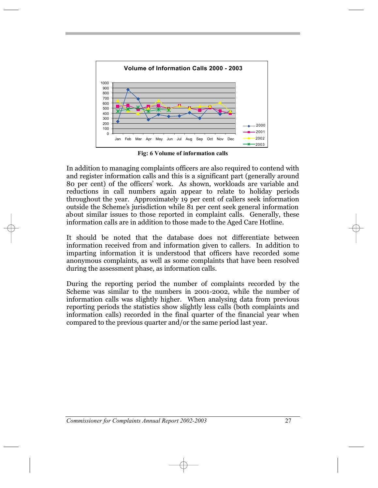

**Fig: 6 Volume of information calls**

In addition to managing complaints officers are also required to contend with and register information calls and this is a significant part (generally around and register mormation cans and this is a significant part (generally around 80 per cent) of the officers' work. As shown, workloads are variable and reductions in call numbers again appear to relate to holiday periods throughout the year. Approximately 19 per cent of callers seek information modghout the year. Approximately 19 per cent of earliers seek information<br>outside the Scheme's jurisdiction while 81 per cent seek general information about similar issues to those reported in complaint calls. Generally, these information calls are in addition to those made to the Aged Care Hotline.

It should be noted that the database does not differentiate between information received from and information given to callers. In addition to imparting information it is understood that officers have recorded some anonymous complaints, as well as some complaints that have been resolved during the assessment phase, as information calls.

During the reporting period the number of complaints recorded by the Scheme was similar to the numbers in 2001-2002, while the number of information calls was slightly higher. When analysing data from previous reporting periods the statistics show slightly less calls (both complaints and information calls) recorded in the final quarter of the financial year when compared to the previous quarter and/or the same period last year.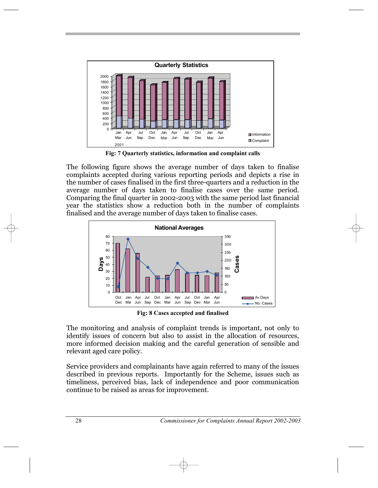

**Fig: 7 Quarterly statistics, information and complaint calls**

The following figure shows the average number of days taken to finalise complaints accepted during various reporting periods and depicts a rise in the number of cases finalised in the first three-quarters and a reduction in the average number of days taken to finalise cases over the same period. Comparing the final quarter in 2002-2003 with the same period last financial year the statistics show a reduction both in the number of complaints finalised and the average number of days taken to finalise cases.



**Fig: 8 Cases accepted and finalised**

The monitoring and analysis of complaint trends is important, not only to identify issues of concern but also to assist in the allocation of resources, more informed decision making and the careful generation of sensible and relevant aged care policy.

Service providers and complainants have again referred to many of the issues described in previous reports. Importantly for the Scheme, issues such as timeliness, perceived bias, lack of independence and poor communication continue to be raised as areas for improvement.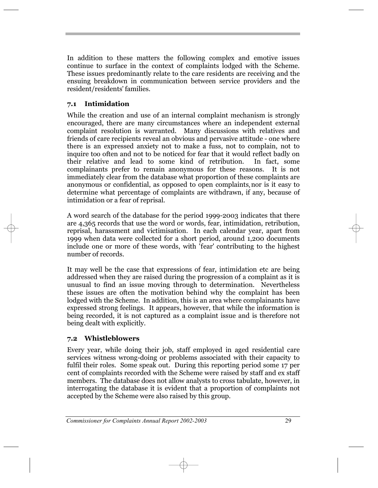In addition to these matters the following complex and emotive issues continue to surface in the context of complaints lodged with the Scheme. These issues predominantly relate to the care residents are receiving and the ensuing breakdown in communication between service providers and the ensuing breakdown in con

## **7.1 Intimidation**

While the creation and use of an internal complaint mechanism is strongly encouraged, there are many circumstances where an independent external complaint resolution is warranted. Many discussions with relatives and friends of care recipients reveal an obvious and pervasive attitude - one where there is an expressed anxiety not to make a fuss, not to complain, not to inquire too often and not to be noticed for fear that it would reflect badly on their relative and lead to some kind of retribution. In fact, some complainants prefer to remain anonymous for these reasons. It is not immediately clear from the database what proportion of these complaints are anonymous or confidential, as opposed to open complaints, nor is it easy to determine what percentage of complaints are withdrawn, if any, because of intimidation or a fear of reprisal.

A word search of the database for the period 1999-2003 indicates that there are 4,365 records that use the word or words, fear, intimidation, retribution, reprisal, harassment and victimisation. In each calendar year, apart from 1999 when data were collected for a short period, around 1,200 documents include one or more of these words, with 'fear' contributing to the highest number of records.

It may well be the case that expressions of fear, intimidation etc are being addressed when they are raised during the progression of a complaint as it is unusual to find an issue moving through to determination. Nevertheless these issues are often the motivation behind why the complaint has been lodged with the Scheme. In addition, this is an area where complainants have expressed strong feelings. It appears, however, that while the information is being recorded, it is not captured as a complaint issue and is therefore not being dealt with explicitly.

## **7.2 Whistleblowers**

Every year, while doing their job, staff employed in aged residential care services witness wrong-doing or problems associated with their capacity to fulfil their roles. Some speak out. During this reporting period some 17 per cent of complaints recorded with the Scheme were raised by staff and ex staff members. The database does not allow analysts to cross tabulate, however, in interrogating the database it is evident that a proportion of complaints not accepted by the Scheme were also raised by this group.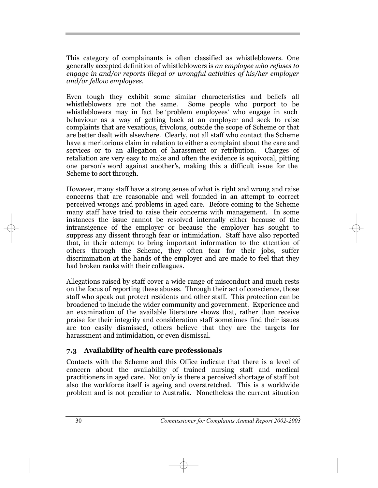This category of complainants is often classified as whistleblowers. One generally accepted definition of whistleblowers is *an employee who refuses to engage in and/or reports illegal or wrongful activities of his/her employer and/or fellow employees*.

Even tough they exhibit some similar characteristics and beliefs all whistleblowers are not the same. Some people who purport to be whistleblowers are not the same. Some people who parport to be behaviour as a way of getting back at an employer and seek to raise complaints that are vexatious, frivolous, outside the scope of Scheme or that are better dealt with elsewhere. Clearly, not all staff who contact the Scheme have a meritorious claim in relation to either a complaint about the care and services or to an allegation of harassment or retribution. Charges of retaliation are very easy to make and often the evidence is equivocal, pitting one person's word against another's, making this a difficult issue for the Scheme to sort through.

However, many staff have a strong sense of what is right and wrong and raise concerns that are reasonable and well founded in an attempt to correct perceived wrongs and problems in aged care. Before coming to the Scheme many staff have tried to raise their concerns with management. In some instances the issue cannot be resolved internally either because of the intransigence of the employer or because the employer has sought to suppress any dissent through fear or intimidation. Staff have also reported that, in their attempt to bring important information to the attention of others through the Scheme, they often fear for their jobs, suffer discrimination at the hands of the employer and are made to feel that they had broken ranks with their colleagues.

Allegations raised by staff cover a wide range of misconduct and much rests on the focus of reporting these abuses. Through their act of conscience, those staff who speak out protect residents and other staff. This protection can be broadened to include the wider community and government. Experience and an examination of the available literature shows that, rather than receive praise for their integrity and consideration staff sometimes find their issues are too easily dismissed, others believe that they are the targets for harassment and intimidation, or even dismissal.

#### **7.3 Availability of health care professionals**

Contacts with the Scheme and this Office indicate that there is a level of concern about the availability of trained nursing staff and medical practitioners in aged care. Not only is there a perceived shortage of staff but also the workforce itself is ageing and overstretched. This is a worldwide problem and is not peculiar to Australia. Nonetheless the current situation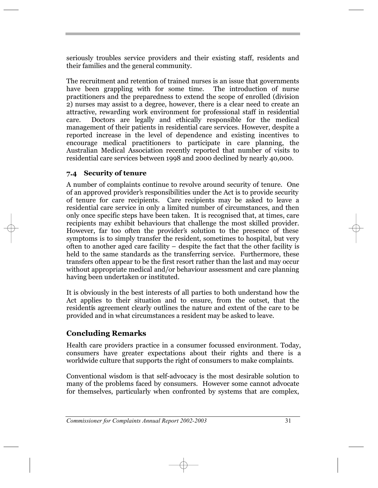seriously troubles service providers and their existing staff, residents and their families and the general community.

The recruitment and retention of trained nurses is an issue that governments have been grappling with for some time. The introduction of nurse practitioners and the preparedness to extend the scope of enrolled (division 2) nurses may assist to a degree, however, there is a clear need to create an attractive, rewarding work environment for professional staff in residential care. Doctors are legally and ethically responsible for the medical management of their patients in residential care services. However, despite a reported increase in the level of dependence and existing incentives to encourage medical practitioners to participate in care planning, the Australian Medical Association recently reported that number of visits to residential care services between 1998 and 2000 declined by nearly 40,000.

## **7.4 Security of tenure**

A number of complaints continue to revolve around security of tenure. One of an approved provider's responsibilities under the Act is to provide security of the School and approved provider's responsibilities under the Act is to provide security of tenure for care recipients. Care recipients may be asked to leave a residential care service in only a limited number of circumstances, and then only once specific steps have been taken. It is recognised that, at times, care recipients may exhibit behaviours that challenge the most skilled provider. However, far too often the provider's solution to the presence of these symptoms is to simply transfer the resident, sometimes to hospital, but very often to another aged care facility  $-\$  despite the fact that the other facility is held to the same standards as the transferring service. Furthermore, these transfers often appear to be the first resort rather than the last and may occur without appropriate medical and/or behaviour assessment and care planning having been undertaken or instituted.

It is obviously in the best interests of all parties to both understand how the Act applies to their situation and to ensure, from the outset, that the resident is agreement clearly outlines the nature and extent of the care to be provided and in what circumstances a resident may be asked to leave.

## **Concluding Remarks**

Health care providers practice in a consumer focussed environment. Today, consumers have greater expectations about their rights and there is a worldwide culture that supports the right of consumers to make complaints.

Conventional wisdom is that self-advocacy is the most desirable solution to many of the problems faced by consumers. However some cannot advocate for themselves, particularly when confronted by systems that are complex,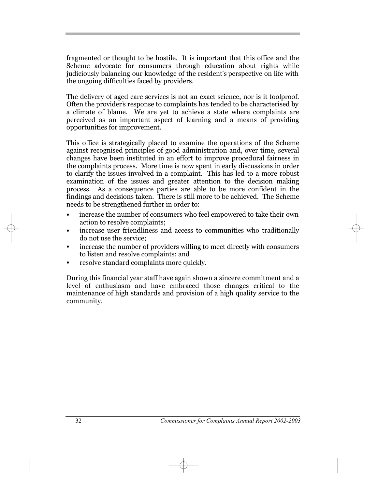fragmented or thought to be hostile. It is important that this office and the Scheme advocate for consumers through education about rights while judiciously balancing our knowledge of the resident's perspective on life with the ongoing difficulties faced by providers.

The delivery of aged care services is not an exact science, nor is it foolproof. Often the provider's response to complaints has tended to be characterised by a climate of blame. We are yet to achieve a state where complaints are perceived as an important aspect of learning and a means of providing opportunities for improvement.

This office is strategically placed to examine the operations of the Scheme against recognised principles of good administration and, over time, several changes have been instituted in an effort to improve procedural fairness in the complaints process. More time is now spent in early discussions in order to clarify the issues involved in a complaint. This has led to a more robust examination of the issues and greater attention to the decision making process. As a consequence parties are able to be more confident in the findings and decisions taken. There is still more to be achieved. The Scheme needs to be strengthened further in order to:

- **ï** increase the number of consumers who feel empowered to take their own action to resolve complaints;
- increase user friendliness and access to communities who traditionally do not use the service; **ï**
- increase the number of providers willing to meet directly with consumers to listen and resolve complaints; and **ï**
- resolve standard complaints more quickly. **ï**

During this financial year staff have again shown a sincere commitment and a level of enthusiasm and have embraced those changes critical to the maintenance of high standards and provision of a high quality service to the community.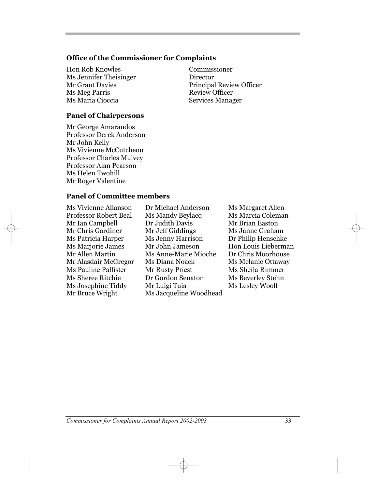#### **Office of the Commissioner for Complaints**

Hon Rob Knowles Commissioner Ms Jennifer Theisinger **Director** Ms Meg Parris<br>Ms Maria Cioccia

#### **Panel of Chairpersons**

Mr George Amarandos Professor Derek Anderson Mr John Kelly Ms Vivienne McCutcheon Professor Charles Mulvey Professor Alan Pearson Ms Helen Twohill Mr Roger Valentine

Mr Grant Davies<br>
Ms Meg Parris<br>
Ms Meg Parris<br>
Mr Grant Davies<br>
Review Officer Services Manager

#### **Panel of Committee members**

Mr Ian Campbell Dr Judith Davis

Ms Vivienne Allanson Dr Michael Anderson Ms Margaret Allen Professor Robert Beal Ms Mandy Beylacq Ms Marcia Coleman Mr Chris Gardiner Mr Jeff Giddings Ms Janne Graham Ms Patricia Harper Ms Jenny Harrison Dr Philip Henschke Ms Marjorie James Mr John Jameson Hon Louis Lieberman Mr Allen Martin Ms Anne-Marie Mioche Dr Chris Moorhouse Mr Alasdair McGregor Ms Diana Noack Ms Melanie Ottaway Ms Pauline Pallister Mr Rusty Priest Ms Sheila Rimmer Ms Sheree Ritchie Dr Gordon Senator Ms Beverley Stehn Ms Josephine Tiddy Mr Luigi Tuia Ms Lesley Woolf Mr Bruce Wright Ms Jacqueline Woodhead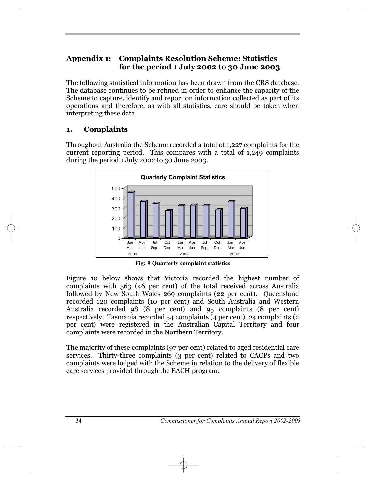## **Appendix 1: Complaints Resolution Scheme: Statistics for the period 1 July 2002 to 30 June 2003**

The following statistical information has been drawn from the CRS database. The database continues to be refined in order to enhance the capacity of the Scheme to capture, identify and report on information collected as part of its operations and therefore, as with all statistics, care should be taken when interpreting these data.

## **1. Complaints**

Throughout Australia the Scheme recorded a total of 1,227 complaints for the current reporting period. This compares with a total of 1,249 complaints during the period 1 July 2002 to 30 June 2003.



**Fig: 9 Quarterly complaint statistics**

Figure 10 below shows that Victoria recorded the highest number of complaints with 563 (46 per cent) of the total received across Australia followed by New South Wales 269 complaints (22 per cent). Queensland recorded 120 complaints (10 per cent) and South Australia and Western Australia recorded 98 (8 per cent) and 95 complaints (8 per cent) respectively. Tasmania recorded 54 complaints (4 per cent), 24 complaints (2 per cent) were registered in the Australian Capital Territory and four complaints were recorded in the Northern Territory.

The majority of these complaints (97 per cent) related to aged residential care services. Thirty-three complaints (3 per cent) related to CACPs and two complaints were lodged with the Scheme in relation to the delivery of flexible care services provided through the EACH program.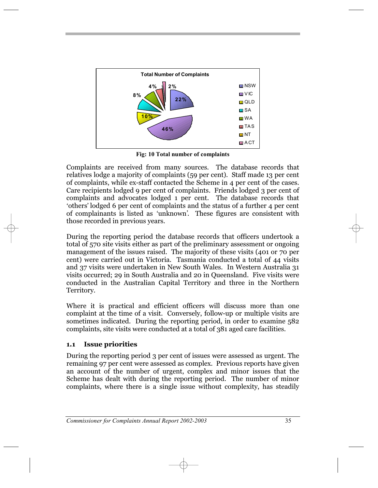

**Fig: 10 Total number of complaints**

Complaints are received from many sources. The database records that relatives lodge a majority of complaints (59 per cent). Staff made 13 per cent of complaints, while ex-staff contacted the Scheme in 4 per cent of the cases. Care recipients lodged 9 per cent of complaints. Friends lodged 3 per cent of complaints and advocates lodged 1 per cent. The database records that others lodged 6 per cent of complaints and the status of a further 4 per cent , , of complainants is listed as 'unknown'. These figures are consistent with those recorded in previous years.

During the reporting period the database records that officers undertook a total of 570 site visits either as part of the preliminary assessment or ongoing management of the issues raised. The majority of these visits (401 or 70 per cent) were carried out in Victoria. Tasmania conducted a total of 44 visits and 37 visits were undertaken in New South Wales. In Western Australia 31 visits occurred; 29 in South Australia and 20 in Queensland. Five visits were conducted in the Australian Capital Territory and three in the Northern Territory.

Where it is practical and efficient officers will discuss more than one complaint at the time of a visit. Conversely, follow-up or multiple visits are sometimes indicated. During the reporting period, in order to examine 582 complaints, site visits were conducted at a total of 381 aged care facilities.

#### **1.1 Issue priorities**

During the reporting period 3 per cent of issues were assessed as urgent. The remaining 97 per cent were assessed as complex. Previous reports have given an account of the number of urgent, complex and minor issues that the Scheme has dealt with during the reporting period. The number of minor complaints, where there is a single issue without complexity, has steadily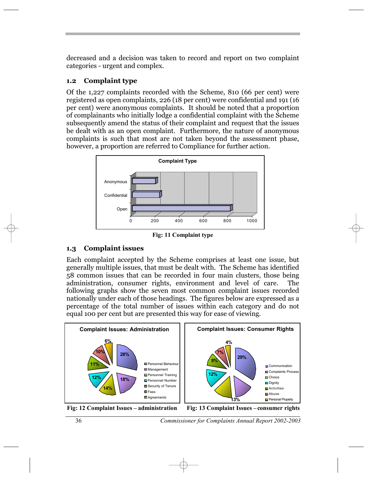decreased and a decision was taken to record and report on two complaint categories - urgent and complex.

#### **1.2 Complaint type**

Of the 1,227 complaints recorded with the Scheme, 810 (66 per cent) were registered as open complaints, 226 (18 per cent) were confidential and 191 (16 per cent) were anonymous complaints. It should be noted that a proportion of complainants who initially lodge a confidential complaint with the Scheme subsequently amend the status of their complaint and request that the issues be dealt with as an open complaint. Furthermore, the nature of anonymous complaints is such that most are not taken beyond the assessment phase, however, a proportion are referred to Compliance for further action.



**Fig: 11 Complaint type**

## **1.3 Complaint issues**

Each complaint accepted by the Scheme comprises at least one issue, but generally multiple issues, that must be dealt with. The Scheme has identified 58 common issues that can be recorded in four main clusters, those being administration, consumer rights, environment and level of care. The following graphs show the seven most common complaint issues recorded nationally under each of those headings. The figures below are expressed as a percentage of the total number of issues within each category and do not equal 100 per cent but are presented this way for ease of viewing.





Fig: 12 Complaint Issues – administration Fig: 13 Complaint Issues – consumer rights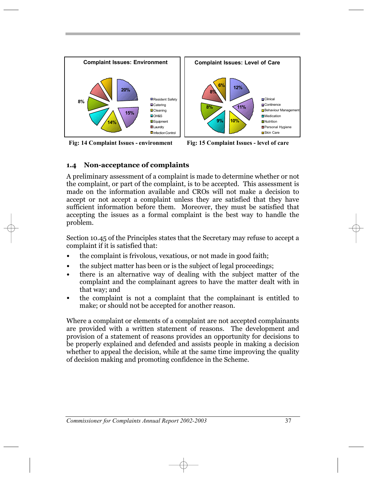

**Fig: 14 Complaint Issues - environment Fig: 15 Complaint Issues - level of care**



#### **1.4 Non-acceptance of complaints**

A preliminary assessment of a complaint is made to determine whether or not the complaint, or part of the complaint, is to be accepted. This assessment is made on the information available and CROs will not make a decision to accept or not accept a complaint unless they are satisfied that they have sufficient information before them. Moreover, they must be satisfied that accepting the issues as a formal complaint is the best way to handle the problem.

Section 10.45 of the Principles states that the Secretary may refuse to accept a complaint if it is satisfied that:

- the complaint is frivolous, vexatious, or not made in good faith; **ï**
- the subject matter has been or is the subject of legal proceedings; **ï**
- there is an alternative way of dealing with the subject matter of the complaint and the complainant agrees to have the matter dealt with in that way; and **ï**
- the complaint is not a complaint that the complainant is entitled to make; or should not be accepted for another reason. **ï**

Where a complaint or elements of a complaint are not accepted complainants are provided with a written statement of reasons. The development and provision of a statement of reasons provides an opportunity for decisions to be properly explained and defended and assists people in making a decision whether to appeal the decision, while at the same time improving the quality of decision making and promoting confidence in the Scheme.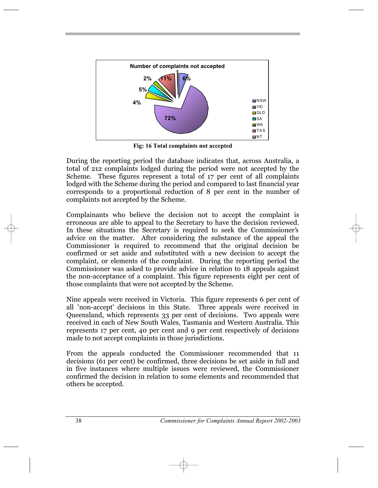

**Fig: 16 Total complaints not accepted**

During the reporting period the database indicates that, across Australia, a total of 212 complaints lodged during the period were not accepted by the Scheme. These figures represent a total of 17 per cent of all complaints lodged with the Scheme during the period and compared to last financial year corresponds to a proportional reduction of 8 per cent in the number of complaints not accepted by the Scheme.

Complainants who believe the decision not to accept the complaint is erroneous are able to appeal to the Secretary to have the decision reviewed. In these situations the Secretary is required to seek the Commissioner's advice on the matter. After considering the substance of the appeal the Commissioner is required to recommend that the original decision be confirmed or set aside and substituted with a new decision to accept the complaint, or elements of the complaint. During the reporting period the Commissioner was asked to provide advice in relation to 18 appeals against the non-acceptance of a complaint. This figure represents eight per cent of those complaints that were not accepted by the Scheme.

Nine appeals were received in Victoria. This figure represents 6 per cent of all ' non-accept' decisions in this State. Three appeals were received in Queensland, which represents 33 per cent of decisions. Two appeals were received in each of New South Wales, Tasmania and Western Australia. This represents 17 per cent, 40 per cent and 9 per cent respectively of decisions made to not accept complaints in those jurisdictions.

From the appeals conducted the Commissioner recommended that 11 decisions (61 per cent) be confirmed, three decisions be set aside in full and in five instances where multiple issues were reviewed, the Commissioner confirmed the decision in relation to some elements and recommended that others be accepted.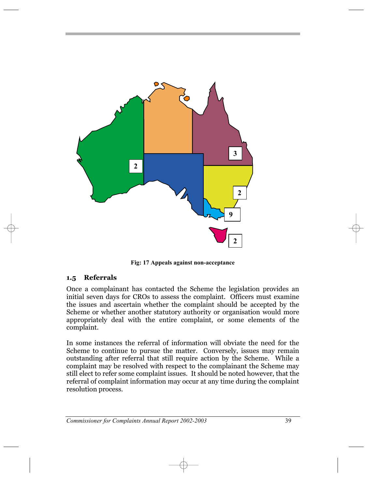

**Fig: 17 Appeals against non-acceptance**

#### **1.5 Referrals**

Once a complainant has contacted the Scheme the legislation provides an initial seven days for CROs to assess the complaint. Officers must examine the issues and ascertain whether the complaint should be accepted by the Scheme or whether another statutory authority or organisation would more appropriately deal with the entire complaint, or some elements of the complaint.

In some instances the referral of information will obviate the need for the Scheme to continue to pursue the matter. Conversely, issues may remain outstanding after referral that still require action by the Scheme. While a complaint may be resolved with respect to the complainant the Scheme may still elect to refer some complaint issues. It should be noted however, that the referral of complaint information may occur at any time during the complaint resolution process.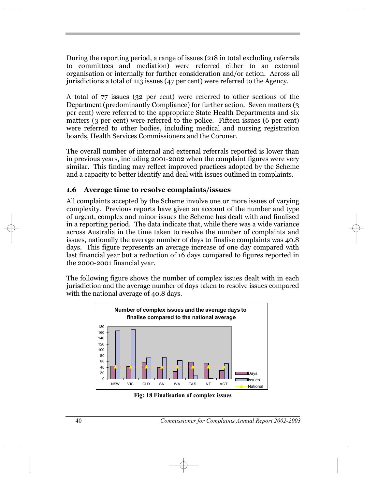During the reporting period, a range of issues (218 in total excluding referrals to committees and mediation) were referred either to an external organisation or internally for further consideration and/or action. Across all jurisdictions a total of 113 issues (47 per cent) were referred to the Agency.

A total of 77 issues (32 per cent) were referred to other sections of the Department (predominantly Compliance) for further action. Seven matters (3 per cent) were referred to the appropriate State Health Departments and six matters (3 per cent) were referred to the police. Fifteen issues (6 per cent) were referred to other bodies, including medical and nursing registration boards, Health Services Commissioners and the Coroner.

The overall number of internal and external referrals reported is lower than in previous years, including 2001-2002 when the complaint figures were very similar. This finding may reflect improved practices adopted by the Scheme and a capacity to better identify and deal with issues outlined in complaints.

#### **1.6 Average time to resolve complaints/issues**

All complaints accepted by the Scheme involve one or more issues of varying complexity. Previous reports have given an account of the number and type of urgent, complex and minor issues the Scheme has dealt with and finalised in a reporting period. The data indicate that, while there was a wide variance across Australia in the time taken to resolve the number of complaints and issues, nationally the average number of days to finalise complaints was 40.8 days. This figure represents an average increase of one day compared with last financial year but a reduction of 16 days compared to figures reported in the 2000-2001 financial year.

The following figure shows the number of complex issues dealt with in each jurisdiction and the average number of days taken to resolve issues compared with the national average of 40.8 days.



**Fig: 18 Finalisation of complex issues**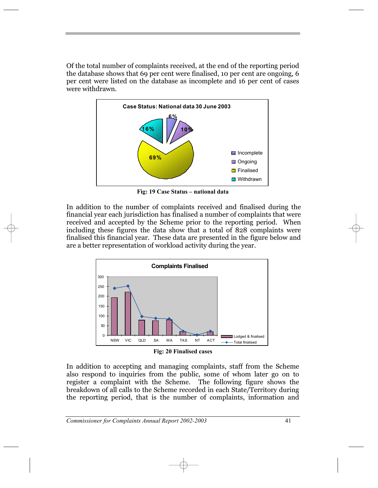Of the total number of complaints received, at the end of the reporting period the database shows that 69 per cent were finalised, 10 per cent are ongoing, 6 per cent were listed on the database as incomplete and 16 per cent of cases were withdrawn.



**Fig: 19 Case Status – national data** 

In addition to the number of complaints received and finalised during the financial year each jurisdiction has finalised a number of complaints that were received and accepted by the Scheme prior to the reporting period. When including these figures the data show that a total of 828 complaints were finalised this financial year. These data are presented in the figure below and are a better representation of workload activity during the year.



**Fig: 20 Finalised cases**

In addition to accepting and managing complaints, staff from the Scheme also respond to inquiries from the public, some of whom later go on to register a complaint with the Scheme. The following figure shows the breakdown of all calls to the Scheme recorded in each State/Territory during the reporting period, that is the number of complaints, information and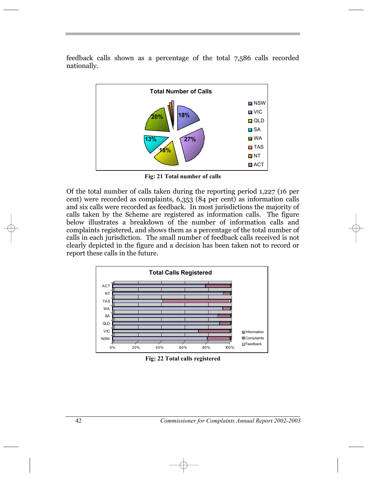feedback calls shown as a percentage of the total 7,586 calls recorded nationally.



**Fig: 21 Total number of calls**

Of the total number of calls taken during the reporting period 1,227 (16 per cent) were recorded as complaints, 6,353 (84 per cent) as information calls and six calls were recorded as feedback. In most jurisdictions the majority of calls taken by the Scheme are registered as information calls. The figure below illustrates a breakdown of the number of information calls and complaints registered, and shows them as a percentage of the total number of calls in each jurisdiction. The small number of feedback calls received is not clearly depicted in the figure and a decision has been taken not to record or report these calls in the future.



**Fig: 22 Total calls registered**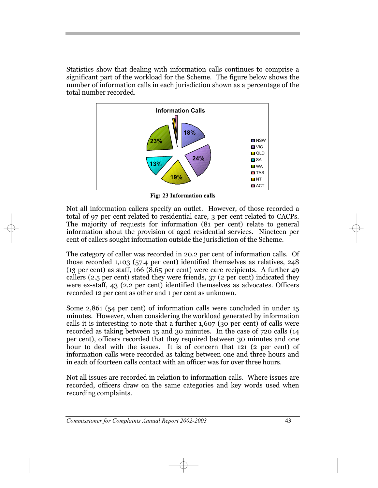Statistics show that dealing with information calls continues to comprise a significant part of the workload for the Scheme. The figure below shows the number of information calls in each jurisdiction shown as a percentage of the total number recorded.



**Fig: 23 Information calls**

Not all information callers specify an outlet. However, of those recorded a total of 97 per cent related to residential care, 3 per cent related to CACPs. The majority of requests for information (81 per cent) relate to general information about the provision of aged residential services. Nineteen per cent of callers sought information outside the jurisdiction of the Scheme.

The category of caller was recorded in 20.2 per cent of information calls. Of those recorded 1,103 (57.4 per cent) identified themselves as relatives, 248 (13 per cent) as staff, 166 (8.65 per cent) were care recipients. A further 49 callers (2.5 per cent) stated they were friends, 37 (2 per cent) indicated they were ex-staff, 43 (2.2 per cent) identified themselves as advocates. Officers recorded 12 per cent as other and 1 per cent as unknown.

Some 2,861 (54 per cent) of information calls were concluded in under 15 minutes. However, when considering the workload generated by information calls it is interesting to note that a further 1,607 (30 per cent) of calls were recorded as taking between 15 and 30 minutes. In the case of 720 calls (14 per cent), officers recorded that they required between 30 minutes and one hour to deal with the issues. It is of concern that 121 (2 per cent) of information calls were recorded as taking between one and three hours and in each of fourteen calls contact with an officer was for over three hours.

Not all issues are recorded in relation to information calls. Where issues are recorded, officers draw on the same categories and key words used when recording complaints.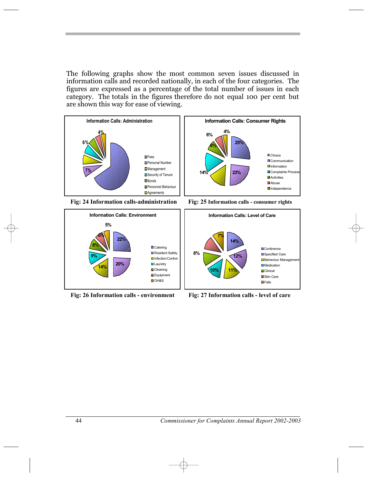The following graphs show the most common seven issues discussed in information calls and recorded nationally, in each of the four categories. The figures are expressed as a percentage of the total number of issues in each category. The totals in the figures therefore do not equal 100 per cent but are shown this way for ease of viewing.





**Fig: 26 Information calls - environment Fig: 27 Information calls - level of care**

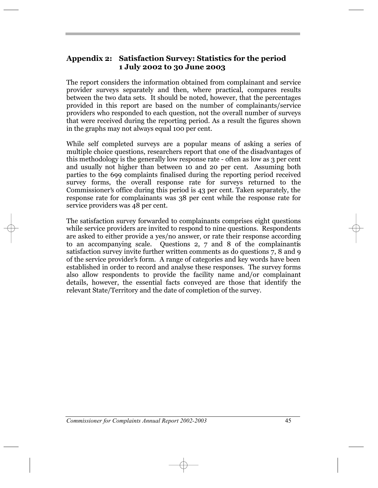## **Appendix 2: Satisfaction Survey: Statistics for the period 1 July 2002 to 30 June 2003**

The report considers the information obtained from complainant and service provider surveys separately and then, where practical, compares results between the two data sets. It should be noted, however, that the percentages provided in this report are based on the number of complainants/service providers who responded to each question, not the overall number of surveys that were received during the reporting period. As a result the figures shown in the graphs may not always equal 100 per cent.

While self completed surveys are a popular means of asking a series of multiple choice questions, researchers report that one of the disadvantages of this methodology is the generally low response rate - often as low as 3 per cent and usually not higher than between 10 and 20 per cent. Assuming both parties to the 699 complaints finalised during the reporting period received survey forms, the overall response rate for surveys returned to the Survey Torms, the overall response rate for surveys returned to the<br>Commissioner's office during this period is 43 per cent. Taken separately, the response rate for complainants was 38 per cent while the response rate for service providers was 48 per cent.

The satisfaction survey forwarded to complainants comprises eight questions while service providers are invited to respond to nine questions. Respondents are asked to either provide a yes/no answer, or rate their response according to an accompanying scale. Questions  $2, 7$  and  $8$  of the complainantis satisfaction survey invite further written comments as do questions 7, 8 and 9 satisfaction survey filter turnier written comments as do questions /, o and 9<br>of the service provider's form. A range of categories and key words have been established in order to record and analyse these responses. The survey forms also allow respondents to provide the facility name and/or complainant details, however, the essential facts conveyed are those that identify the relevant State/Territory and the date of completion of the survey.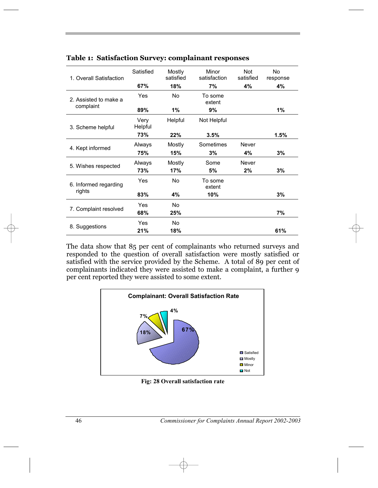| 1. Overall Satisfaction         | Satisfied       | Mostly<br>satisfied | Minor<br>satisfaction | <b>Not</b><br>satisfied | No<br>response |  |
|---------------------------------|-----------------|---------------------|-----------------------|-------------------------|----------------|--|
|                                 | 67%             | 18%                 | 7%                    | 4%                      | 4%             |  |
| 2. Assisted to make a           | Yes             | No.                 | To some<br>extent     |                         |                |  |
| complaint                       | 89%             | 1%                  | 9%                    |                         | 1%             |  |
| 3. Scheme helpful               | Very<br>Helpful | Helpful             | Not Helpful           |                         |                |  |
|                                 | 73%             | 22%                 | 3.5%                  |                         | 1.5%           |  |
| 4. Kept informed                | Always          | Mostly              | Sometimes             | Never                   |                |  |
|                                 | 75%             | 15%                 | 3%                    | 4%                      | 3%             |  |
| 5. Wishes respected             | Always          | Mostly              | Some                  | Never                   |                |  |
|                                 | 73%             | 17%                 | 5%                    | 2%                      | 3%             |  |
| 6. Informed regarding<br>rights | Yes             | No                  | To some<br>extent     |                         |                |  |
|                                 | 83%             | 4%                  | 10%                   |                         | 3%             |  |
|                                 | Yes             | No.                 |                       |                         |                |  |
| 7. Complaint resolved           | 68%             | 25%                 |                       |                         | 7%             |  |
|                                 | Yes             | No.                 |                       |                         |                |  |
| 8. Suggestions                  | 21%             | 18%                 |                       |                         | 61%            |  |

#### **Table 1: Satisfaction Survey: complainant responses**

The data show that 85 per cent of complainants who returned surveys and responded to the question of overall satisfaction were mostly satisfied or satisfied with the service provided by the Scheme. A total of 89 per cent of complainants indicated they were assisted to make a complaint, a further 9 per cent reported they were assisted to some extent.



**Fig: 28 Overall satisfaction rate**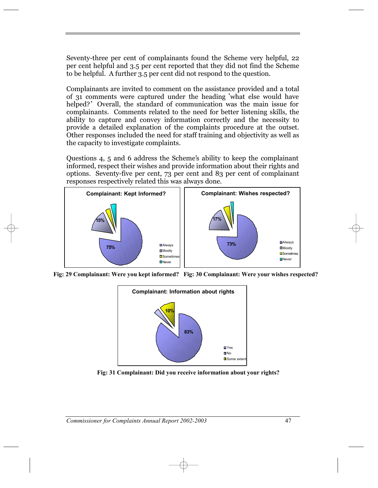Seventy-three per cent of complainants found the Scheme very helpful, 22 per cent helpful and 3.5 per cent reported that they did not find the Scheme to be helpful. A further 3.5 per cent did not respond to the question.

Complainants are invited to comment on the assistance provided and a total of 31 comments were captured under the heading 'what else would have or 31 comments were captured under the heading what else would have<br>helped?' Overall, the standard of communication was the main issue for complainants. Comments related to the need for better listening skills, the ability to capture and convey information correctly and the necessity to provide a detailed explanation of the complaints procedure at the outset. Other responses included the need for staff training and objectivity as well as the capacity to investigate complaints.

Questions 4, 5 and 6 address the Scheme's ability to keep the complainant informed, respect their wishes and provide information about their rights and options. Seventy-five per cent, 73 per cent and 83 per cent of complainant responses respectively related this was always done.



**Fig: 29 Complainant: Were you kept informed? Fig: 30 Complainant: Were your wishes respected?**



**Fig: 31 Complainant: Did you receive information about your rights?**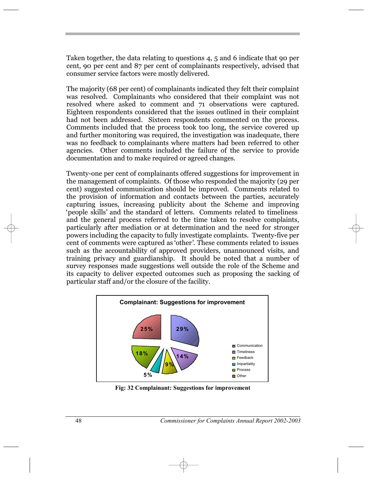Taken together, the data relating to questions 4, 5 and 6 indicate that 90 per cent, 90 per cent and 87 per cent of complainants respectively, advised that consumer service factors were mostly delivered.

The majority (68 per cent) of complainants indicated they felt their complaint was resolved. Complainants who considered that their complaint was not resolved where asked to comment and 71 observations were captured. Eighteen respondents considered that the issues outlined in their complaint had not been addressed. Sixteen respondents commented on the process. Comments included that the process took too long, the service covered up and further monitoring was required, the investigation was inadequate, there was no feedback to complainants where matters had been referred to other agencies. Other comments included the failure of the service to provide documentation and to make required or agreed changes.

Twenty-one per cent of complainants offered suggestions for improvement in the management of complaints. Of those who responded the majority (29 per cent) suggested communication should be improved. Comments related to the provision of information and contacts between the parties, accurately capturing issues, increasing publicity about the Scheme and improving capturing issues, increasing publicity about the scheme and improving<br>'people skills' and the standard of letters. Comments related to timeliness and the general process referred to the time taken to resolve complaints, particularly after mediation or at determination and the need for stronger powers including the capacity to fully investigate complaints. Twenty-five per powers including the capacity to funy investigate complaints. Twenty-live per<br>cent of comments were captured as 'other'. These comments related to issues such as the accountability of approved providers, unannounced visits, and training privacy and guardianship. It should be noted that a number of survey responses made suggestions well outside the role of the Scheme and its capacity to deliver expected outcomes such as proposing the sacking of particular staff and/or the closure of the facility.



**Fig: 32 Complainant: Suggestions for improvement**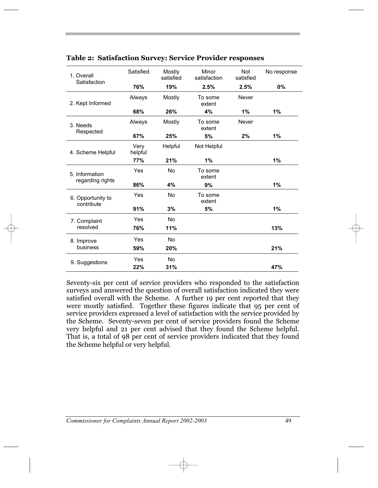| 1. Overall<br>Satisfaction         | Satisfied       | Mostly<br>satisfied | Minor<br>satisfaction | Not<br>satisfied | No response |
|------------------------------------|-----------------|---------------------|-----------------------|------------------|-------------|
|                                    | 76%             | 19%                 | 2.5%                  | 2.5%             | $0\%$       |
| 2. Kept Informed                   | Always          | Mostly              | To some<br>extent     | Never            |             |
|                                    | 68%             | 26%                 | 4%                    | 1%               | 1%          |
| 3. Needs                           | Always          | Mostly              | To some<br>extent     | Never            |             |
| Respected                          | 67%             | 25%                 | 5%                    | 2%               | 1%          |
| 4. Scheme Helpful                  | Very<br>helpful | Helpful             | Not Helpful           |                  |             |
|                                    | 77%             | 21%                 | 1%                    |                  | 1%          |
| 5. Information<br>regarding rights | Yes             | No                  | To some<br>extent     |                  |             |
|                                    | 86%             | 4%                  | 9%                    |                  | 1%          |
| 6. Opportunity to<br>contribute    | Yes             | No                  | To some<br>extent     |                  |             |
|                                    | 91%             | 3%                  | 5%                    |                  | 1%          |
| 7. Complaint                       | Yes             | <b>No</b>           |                       |                  |             |
| resolved                           | 76%             | 11%                 |                       |                  | 13%         |
| 8. Improve<br>business             | Yes             | <b>No</b>           |                       |                  |             |
|                                    | 59%             | 20%                 |                       |                  | 21%         |
| 9. Suggestions                     | Yes             | <b>No</b>           |                       |                  |             |
|                                    | 22%             | 31%                 |                       |                  | 47%         |

#### **Table 2: Satisfaction Survey: Service Provider responses**

Seventy-six per cent of service providers who responded to the satisfaction surveys and answered the question of overall satisfaction indicated they were satisfied overall with the Scheme. A further 19 per cent reported that they were mostly satisfied. Together these figures indicate that 95 per cent of service providers expressed a level of satisfaction with the service provided by the Scheme. Seventy-seven per cent of service providers found the Scheme very helpful and 21 per cent advised that they found the Scheme helpful. That is, a total of 98 per cent of service providers indicated that they found the Scheme helpful or very helpful.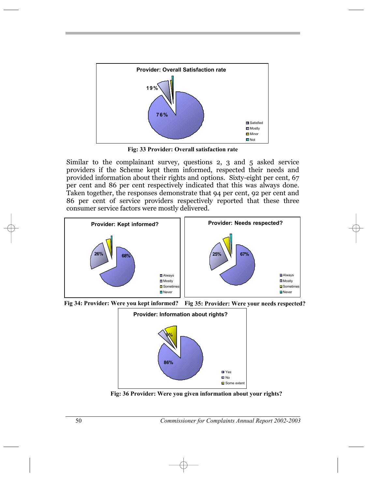

**Fig: 33 Provider: Overall satisfaction rate**

Similar to the complainant survey, questions 2, 3 and 5 asked service providers if the Scheme kept them informed, respected their needs and provided information about their rights and options. Sixty-eight per cent, 67 per cent and 86 per cent respectively indicated that this was always done. Taken together, the responses demonstrate that 94 per cent, 92 per cent and 86 per cent of service providers respectively reported that these three consumer service factors were mostly delivered.







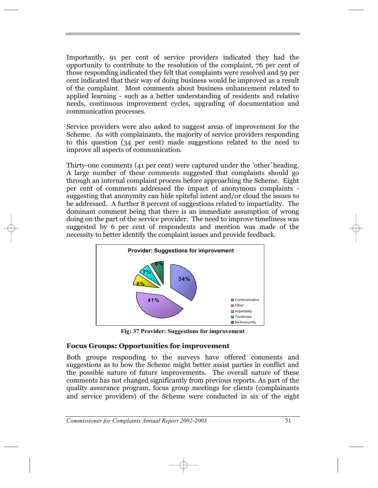Importantly, 91 per cent of service providers indicated they had the opportunity to contribute to the resolution of the complaint, 76 per cent of those responding indicated they felt that complaints were resolved and 59 per cent indicated that their way of doing business would be improved as a result of the complaint. Most comments about business enhancement related to applied learning - such as a better understanding of residents and relative needs, continuous improvement cycles, upgrading of documentation and communication processes.

Service providers were also asked to suggest areas of improvement for the Scheme. As with complainants, the majority of service providers responding to this question (34 per cent) made suggestions related to the need to improve all aspects of communication.

Thirty-one comments (41 per cent) were captured under the 'other' heading. A large number of these comments suggested that complaints should go through an internal complaint process before approaching the Scheme. Eight per cent of comments addressed the impact of anonymous complaints suggesting that anonymity can hide spiteful intent and/or cloud the issues to be addressed. A further 8 percent of suggestions related to impartiality. The dominant comment being that there is an immediate assumption of wrong doing on the part of the service provider. The need to improve timeliness was suggested by 6 per cent of respondents and mention was made of the necessity to better identify the complaint issues and provide feedback.



**Fig: 37 Provider: Suggestions for improvement**

## **Focus Groups: Opportunities for improvement**

Both groups responding to the surveys have offered comments and suggestions as to how the Scheme might better assist parties in conflict and the possible nature of future improvements. The overall nature of these comments has not changed significantly from previous reports. As part of the quality assurance program, focus group meetings for clients (complainants and service providers) of the Scheme were conducted in six of the eight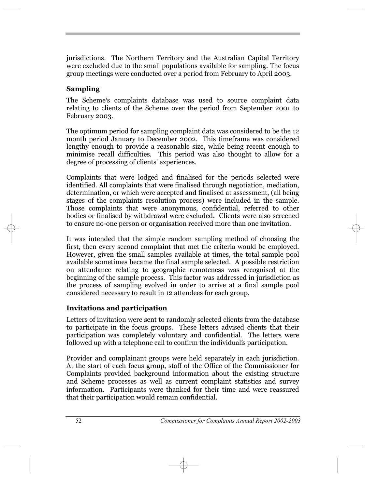jurisdictions. The Northern Territory and the Australian Capital Territory were excluded due to the small populations available for sampling. The focus group meetings were conducted over a period from February to April 2003.

#### **Sampling**

The Scheme's complaints database was used to source complaint data relating to clients of the Scheme over the period from September 2001 to February 2003.

The optimum period for sampling complaint data was considered to be the 12 month period January to December 2002. This timeframe was considered lengthy enough to provide a reasonable size, while being recent enough to minimise recall difficulties. This period was also thought to allow for a degree of processing of clients' experiences.

Complaints that were lodged and finalised for the periods selected were identified. All complaints that were finalised through negotiation, mediation, determination, or which were accepted and finalised at assessment, (all being stages of the complaints resolution process) were included in the sample. Those complaints that were anonymous, confidential, referred to other bodies or finalised by withdrawal were excluded. Clients were also screened to ensure no-one person or organisation received more than one invitation.

It was intended that the simple random sampling method of choosing the first, then every second complaint that met the criteria would be employed. However, given the small samples available at times, the total sample pool available sometimes became the final sample selected. A possible restriction on attendance relating to geographic remoteness was recognised at the beginning of the sample process. This factor was addressed in jurisdiction as the process of sampling evolved in order to arrive at a final sample pool considered necessary to result in 12 attendees for each group.

#### **Invitations and participation**

Letters of invitation were sent to randomly selected clients from the database to participate in the focus groups. These letters advised clients that their participation was completely voluntary and confidential. The letters were followed up with a telephone call to confirm the individualis participation.

Provider and complainant groups were held separately in each jurisdiction. At the start of each focus group, staff of the Office of the Commissioner for Complaints provided background information about the existing structure and Scheme processes as well as current complaint statistics and survey information. Participants were thanked for their time and were reassured that their participation would remain confidential.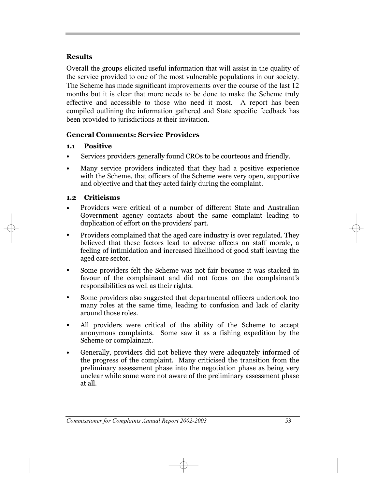## **Results**

Overall the groups elicited useful information that will assist in the quality of the service provided to one of the most vulnerable populations in our society. The Scheme has made significant improvements over the course of the last 12 months but it is clear that more needs to be done to make the Scheme truly effective and accessible to those who need it most. A report has been compiled outlining the information gathered and State specific feedback has been provided to jurisdictions at their invitation.

#### **General Comments: Service Providers**

#### **1.1 Positive**

- Services providers generally found CROs to be courteous and friendly.
- Many service providers indicated that they had a positive experience with the Scheme, that officers of the Scheme were very open, supportive and objective and that they acted fairly during the complaint. **ï**

#### **1.2 Criticisms**

- Providers were critical of a number of different State and Australian Government agency contacts about the same complaint leading to Government agency comacts about the<br>duplication of effort on the providers' part. **ï**
- Providers complained that the aged care industry is over regulated. They believed that these factors lead to adverse affects on staff morale, a feeling of intimidation and increased likelihood of good staff leaving the aged care sector. **ï**
- Some providers felt the Scheme was not fair because it was stacked in Favour of the complainant and did not focus on the complainant's responsibilities as well as their rights. **ï**
- Some providers also suggested that departmental officers undertook too many roles at the same time, leading to confusion and lack of clarity around those roles. **ï**
- All providers were critical of the ability of the Scheme to accept anonymous complaints. Some saw it as a fishing expedition by the Scheme or complainant. **ï**
- Generally, providers did not believe they were adequately informed of the progress of the complaint. Many criticised the transition from the preliminary assessment phase into the negotiation phase as being very **ï** unclear while some were not aware of the preliminary assessment phase at all.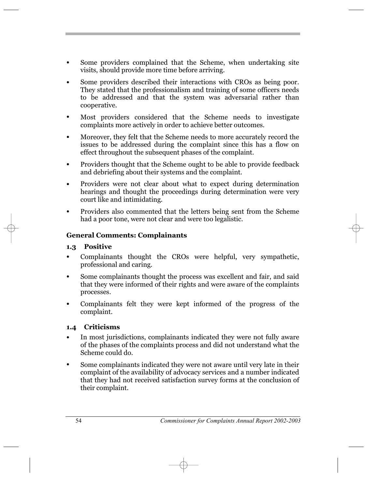- Some providers complained that the Scheme, when undertaking site visits, should provide more time before arriving. **ï**
- Some providers described their interactions with CROs as being poor. They stated that the professionalism and training of some officers needs to be addressed and that the system was adversarial rather than cooperative. **ï**
- Most providers considered that the Scheme needs to investigate complaints more actively in order to achieve better outcomes. **ï**
- Moreover, they felt that the Scheme needs to more accurately record the issues to be addressed during the complaint since this has a flow on effect throughout the subsequent phases of the complaint. **ï**
- Providers thought that the Scheme ought to be able to provide feedback and debriefing about their systems and the complaint. **ï**
- Providers were not clear about what to expect during determination hearings and thought the proceedings during determination were very court like and intimidating. **ï**
- Providers also commented that the letters being sent from the Scheme had a poor tone, were not clear and were too legalistic. **ï**

#### **General Comments: Complainants**

#### **1.3 Positive**

- Complainants thought the CROs were helpful, very sympathetic, professional and caring. **ï**
- Some complainants thought the process was excellent and fair, and said that they were informed of their rights and were aware of the complaints processes. **ï**
- Complainants felt they were kept informed of the progress of the complaint. **ï**

#### **1.4 Criticisms**

- In most jurisdictions, complainants indicated they were not fully aware of the phases of the complaints process and did not understand what the Scheme could do. **ï**
- Some complainants indicated they were not aware until very late in their complaint of the availability of advocacy services and a number indicated **ï** that they had not received satisfaction survey forms at the conclusion of their complaint.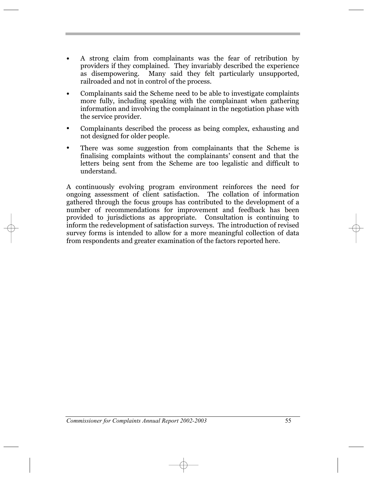- A strong claim from complainants was the fear of retribution by providers if they complained. They invariably described the experience as disempowering. Many said they felt particularly unsupported, railroaded and not in control of the process. **ï**
- Complainants said the Scheme need to be able to investigate complaints more fully, including speaking with the complainant when gathering information and involving the complainant in the negotiation phase with the service provider. **ï**
- Complainants described the process as being complex, exhausting and not designed for older people. **ï**
- There was some suggestion from complainants that the Scheme is<br> **inclusive complaints** without the complainants' consent and that the finalising complaints without the complainants' consent and that the letters being sent from the Scheme are too legalistic and difficult to understand.

A continuously evolving program environment reinforces the need for ongoing assessment of client satisfaction. The collation of information gathered through the focus groups has contributed to the development of a number of recommendations for improvement and feedback has been provided to jurisdictions as appropriate. Consultation is continuing to inform the redevelopment of satisfaction surveys. The introduction of revised survey forms is intended to allow for a more meaningful collection of data from respondents and greater examination of the factors reported here.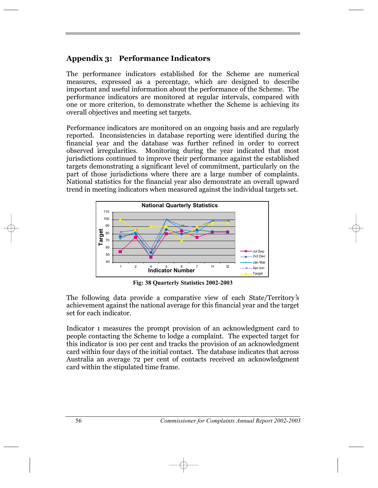## **Appendix 3: Performance Indicators**

The performance indicators established for the Scheme are numerical measures, expressed as a percentage, which are designed to describe important and useful information about the performance of the Scheme. The performance indicators are monitored at regular intervals, compared with one or more criterion, to demonstrate whether the Scheme is achieving its overall objectives and meeting set targets.

Performance indicators are monitored on an ongoing basis and are regularly reported. Inconsistencies in database reporting were identified during the financial year and the database was further refined in order to correct observed irregularities. Monitoring during the year indicated that most jurisdictions continued to improve their performance against the established targets demonstrating a significant level of commitment, particularly on the part of those jurisdictions where there are a large number of complaints. National statistics for the financial year also demonstrate an overall upward trend in meeting indicators when measured against the individual targets set.



**Fig: 38 Quarterly Statistics 2002-2003**

The following data provide a comparative view of each State/Territory's achievement against the national average for this financial year and the target set for each indicator.

Indicator 1 measures the prompt provision of an acknowledgment card to people contacting the Scheme to lodge a complaint. The expected target for this indicator is 100 per cent and tracks the provision of an acknowledgment card within four days of the initial contact. The database indicates that across Australia an average 72 per cent of contacts received an acknowledgment card within the stipulated time frame.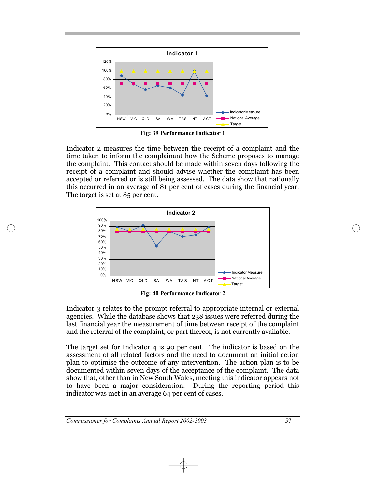

**Fig: 39 Performance Indicator 1**

Indicator 2 measures the time between the receipt of a complaint and the time taken to inform the complainant how the Scheme proposes to manage the complaint. This contact should be made within seven days following the receipt of a complaint and should advise whether the complaint has been accepted or referred or is still being assessed. The data show that nationally this occurred in an average of 81 per cent of cases during the financial year. The target is set at 85 per cent.



**Fig: 40 Performance Indicator 2**

Indicator 3 relates to the prompt referral to appropriate internal or external agencies. While the database shows that 238 issues were referred during the last financial year the measurement of time between receipt of the complaint and the referral of the complaint, or part thereof, is not currently available.

The target set for Indicator 4 is 90 per cent. The indicator is based on the assessment of all related factors and the need to document an initial action plan to optimise the outcome of any intervention. The action plan is to be documented within seven days of the acceptance of the complaint. The data show that, other than in New South Wales, meeting this indicator appears not to have been a major consideration. During the reporting period this indicator was met in an average 64 per cent of cases.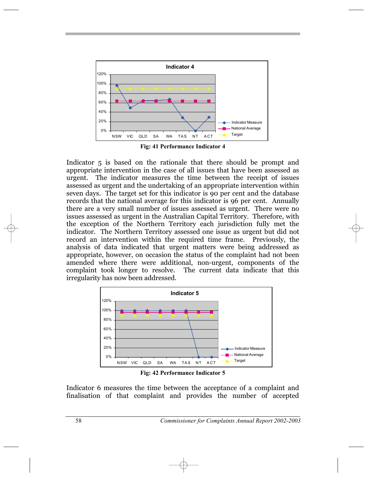

**Fig: 41 Performance Indicator 4**

Indicator 5 is based on the rationale that there should be prompt and appropriate intervention in the case of all issues that have been assessed as urgent. The indicator measures the time between the receipt of issues assessed as urgent and the undertaking of an appropriate intervention within seven days. The target set for this indicator is 90 per cent and the database records that the national average for this indicator is 96 per cent. Annually there are a very small number of issues assessed as urgent. There were no issues assessed as urgent in the Australian Capital Territory. Therefore, with the exception of the Northern Territory each jurisdiction fully met the indicator. The Northern Territory assessed one issue as urgent but did not record an intervention within the required time frame. Previously, the analysis of data indicated that urgent matters were being addressed as appropriate, however, on occasion the status of the complaint had not been amended where there were additional, non-urgent, components of the complaint took longer to resolve. The current data indicate that this irregularity has now been addressed.



**Fig: 42 Performance Indicator 5**

Indicator 6 measures the time between the acceptance of a complaint and finalisation of that complaint and provides the number of accepted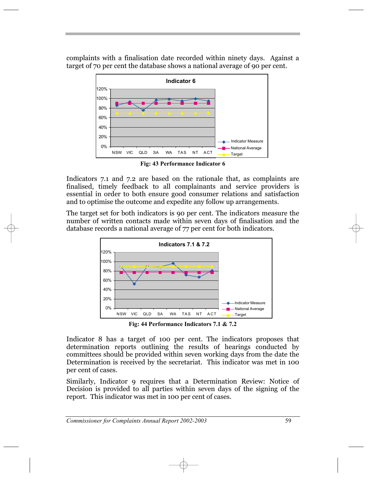complaints with a finalisation date recorded within ninety days. Against a target of 70 per cent the database shows a national average of 90 per cent.



**Fig: 43 Performance Indicator 6**

Indicators 7.1 and 7.2 are based on the rationale that, as complaints are finalised, timely feedback to all complainants and service providers is essential in order to both ensure good consumer relations and satisfaction and to optimise the outcome and expedite any follow up arrangements.

The target set for both indicators is 90 per cent. The indicators measure the number of written contacts made within seven days of finalisation and the database records a national average of 77 per cent for both indicators.



**Fig: 44 Performance Indicators 7.1 & 7.2**

Indicator 8 has a target of 100 per cent. The indicators proposes that determination reports outlining the results of hearings conducted by committees should be provided within seven working days from the date the Determination is received by the secretariat. This indicator was met in 100 per cent of cases.

Similarly, Indicator 9 requires that a Determination Review: Notice of Decision is provided to all parties within seven days of the signing of the report. This indicator was met in 100 per cent of cases.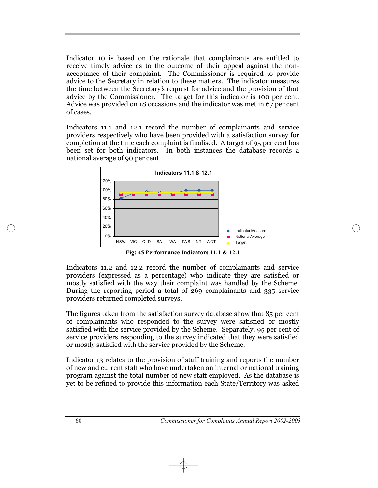Indicator 10 is based on the rationale that complainants are entitled to receive timely advice as to the outcome of their appeal against the nonacceptance of their complaint. The Commissioner is required to provide advice to the Secretary in relation to these matters. The indicator measures advice to the secretary in relation to these matters. The indicator measures the time between the Secretary's request for advice and the provision of that advice by the Commissioner. The target for this indicator is 100 per cent. Advice was provided on 18 occasions and the indicator was met in 67 per cent of cases.

Indicators 11.1 and 12.1 record the number of complainants and service providers respectively who have been provided with a satisfaction survey for completion at the time each complaint is finalised. A target of 95 per cent has been set for both indicators. In both instances the database records a national average of 90 per cent.



**Fig: 45 Performance Indicators 11.1 & 12.1**

Indicators 11.2 and 12.2 record the number of complainants and service providers (expressed as a percentage) who indicate they are satisfied or mostly satisfied with the way their complaint was handled by the Scheme. During the reporting period a total of 269 complainants and 335 service providers returned completed surveys.

The figures taken from the satisfaction survey database show that 85 per cent of complainants who responded to the survey were satisfied or mostly satisfied with the service provided by the Scheme. Separately, 95 per cent of service providers responding to the survey indicated that they were satisfied or mostly satisfied with the service provided by the Scheme.

Indicator 13 relates to the provision of staff training and reports the number of new and current staff who have undertaken an internal or national training program against the total number of new staff employed. As the database is yet to be refined to provide this information each State/Territory was asked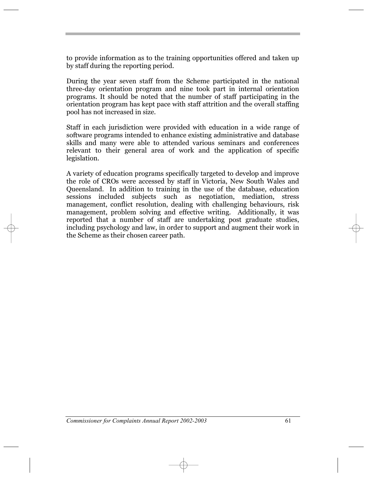to provide information as to the training opportunities offered and taken up by staff during the reporting period.

During the year seven staff from the Scheme participated in the national three-day orientation program and nine took part in internal orientation programs. It should be noted that the number of staff participating in the orientation program has kept pace with staff attrition and the overall staffing pool has not increased in size.

Staff in each jurisdiction were provided with education in a wide range of software programs intended to enhance existing administrative and database skills and many were able to attended various seminars and conferences relevant to their general area of work and the application of specific legislation.

A variety of education programs specifically targeted to develop and improve the role of CROs were accessed by staff in Victoria, New South Wales and Queensland. In addition to training in the use of the database, education sessions included subjects such as negotiation, mediation, stress management, conflict resolution, dealing with challenging behaviours, risk management, problem solving and effective writing. Additionally, it was reported that a number of staff are undertaking post graduate studies, including psychology and law, in order to support and augment their work in the Scheme as their chosen career path.